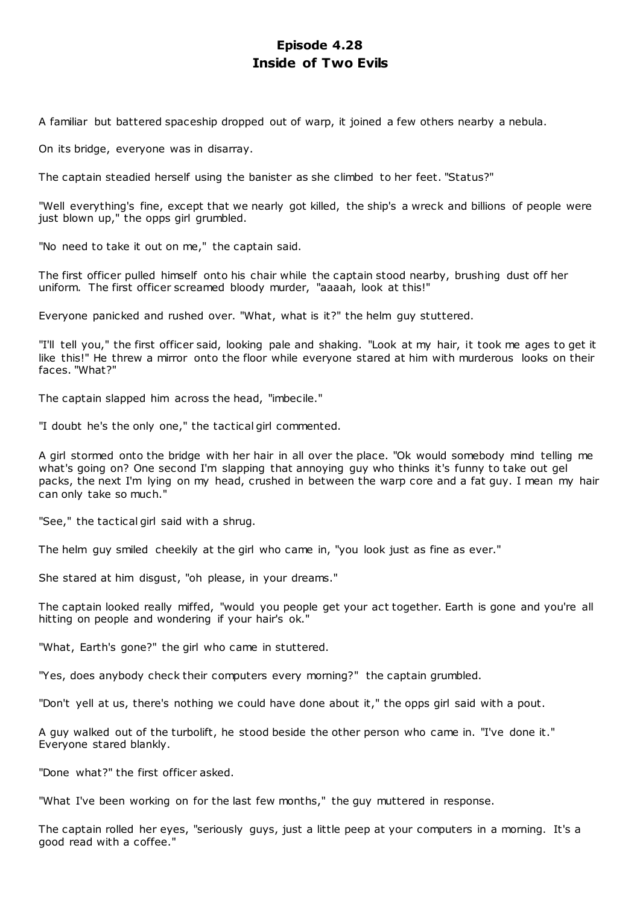# **Episode 4.28 Inside of Two Evils**

A familiar but battered spaceship dropped out of warp, it joined a few others nearby a nebula.

On its bridge, everyone was in disarray.

The captain steadied herself using the banister as she climbed to her feet. "Status?"

"Well everything's fine, except that we nearly got killed, the ship's a wreck and billions of people were just blown up," the opps girl grumbled.

"No need to take it out on me," the captain said.

The first officer pulled himself onto his chair while the captain stood nearby, brushing dust off her uniform. The first officer screamed bloody murder, "aaaah, look at this!"

Everyone panicked and rushed over. "What, what is it?" the helm guy stuttered.

"I'll tell you," the first officer said, looking pale and shaking. "Look at my hair, it took me ages to get it like this!" He threw a mirror onto the floor while everyone stared at him with murderous looks on their faces. "What?"

The captain slapped him across the head, "imbecile."

"I doubt he's the only one," the tactical girl commented.

A girl stormed onto the bridge with her hair in all over the place. "Ok would somebody mind telling me what's going on? One second I'm slapping that annoying guy who thinks it's funny to take out gel packs, the next I'm lying on my head, crushed in between the warp core and a fat guy. I mean my hair can only take so much."

"See," the tactical girl said with a shrug.

The helm guy smiled cheekily at the girl who came in, "you look just as fine as ever."

She stared at him disgust, "oh please, in your dreams."

The captain looked really miffed, "would you people get your act together. Earth is gone and you're all hitting on people and wondering if your hair's ok."

"What, Earth's gone?" the girl who came in stuttered.

"Yes, does anybody check their computers every morning?" the captain grumbled.

"Don't yell at us, there's nothing we could have done about it," the opps girl said with a pout.

A guy walked out of the turbolift, he stood beside the other person who came in. "I've done it." Everyone stared blankly.

"Done what?" the first officer asked.

"What I've been working on for the last few months," the guy muttered in response.

The captain rolled her eyes, "seriously guys, just a little peep at your computers in a morning. It's a good read with a coffee."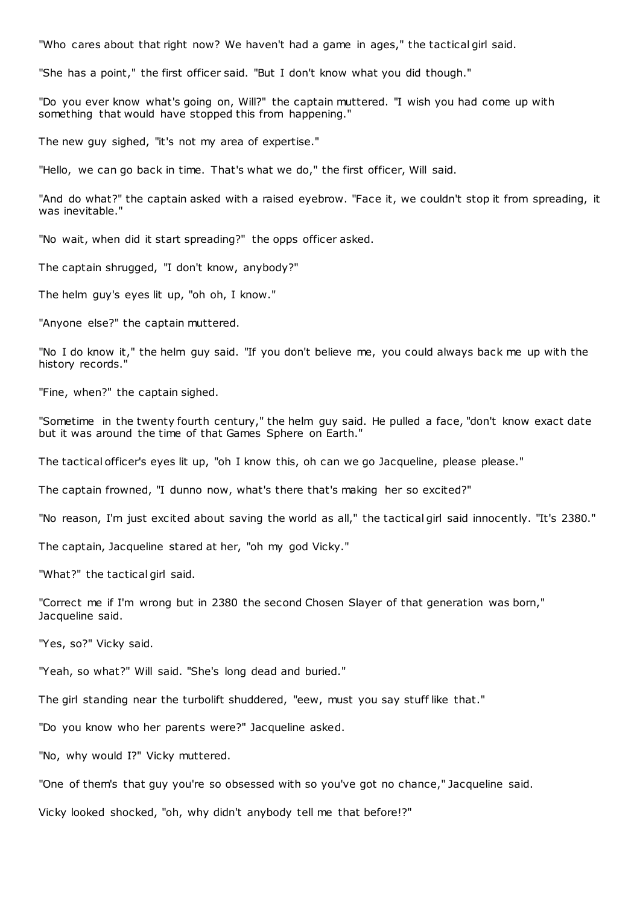"Who cares about that right now? We haven't had a game in ages," the tactical girl said.

"She has a point," the first officer said. "But I don't know what you did though."

"Do you ever know what's going on, Will?" the captain muttered. "I wish you had come up with something that would have stopped this from happening."

The new guy sighed, "it's not my area of expertise."

"Hello, we can go back in time. That's what we do," the first officer, Will said.

"And do what?" the captain asked with a raised eyebrow. "Face it, we couldn't stop it from spreading, it was inevitable."

"No wait, when did it start spreading?" the opps officer asked.

The captain shrugged, "I don't know, anybody?"

The helm guy's eyes lit up, "oh oh, I know."

"Anyone else?" the captain muttered.

"No I do know it," the helm guy said. "If you don't believe me, you could always back me up with the history records."

"Fine, when?" the captain sighed.

"Sometime in the twenty fourth century," the helm guy said. He pulled a face, "don't know exact date but it was around the time of that Games Sphere on Earth."

The tactical officer's eyes lit up, "oh I know this, oh can we go Jacqueline, please please."

The captain frowned, "I dunno now, what's there that's making her so excited?"

"No reason, I'm just excited about saving the world as all," the tactical girl said innocently. "It's 2380."

The captain, Jacqueline stared at her, "oh my god Vicky."

"What?" the tactical girl said.

"Correct me if I'm wrong but in 2380 the second Chosen Slayer of that generation was born," Jacqueline said.

"Yes, so?" Vicky said.

"Yeah, so what?" Will said. "She's long dead and buried."

The girl standing near the turbolift shuddered, "eew, must you say stuff like that."

"Do you know who her parents were?" Jacqueline asked.

"No, why would I?" Vicky muttered.

"One of them's that guy you're so obsessed with so you've got no chance," Jacqueline said.

Vicky looked shocked, "oh, why didn't anybody tell me that before!?"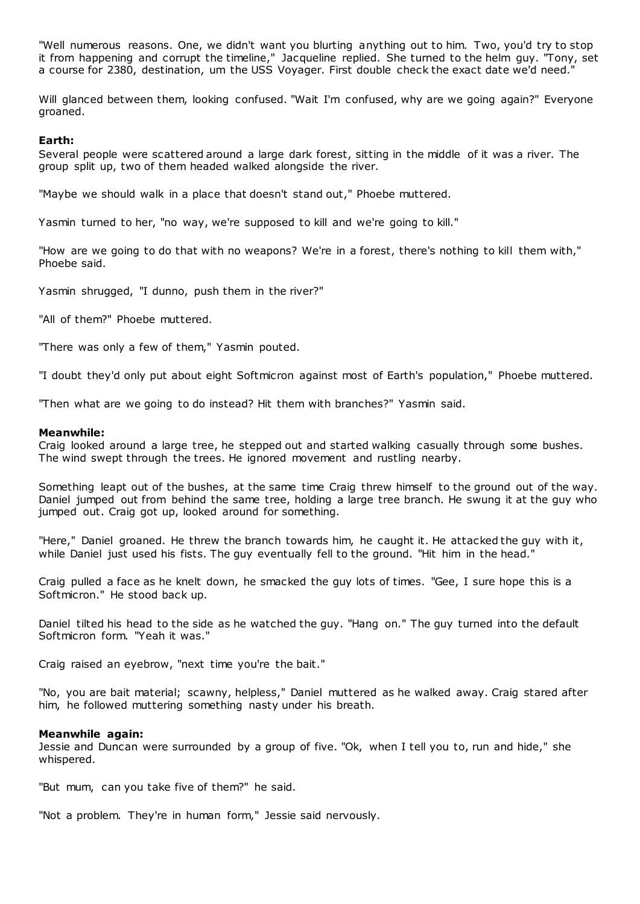"Well numerous reasons. One, we didn't want you blurting anything out to him. Two, you'd try to stop it from happening and corrupt the timeline," Jacqueline replied. She turned to the helm guy. "Tony, set a course for 2380, destination, um the USS Voyager. First double check the exact date we'd need."

Will glanced between them, looking confused. "Wait I'm confused, why are we going again?" Everyone groaned.

# **Earth:**

Several people were scattered around a large dark forest, sitting in the middle of it was a river. The group split up, two of them headed walked alongside the river.

"Maybe we should walk in a place that doesn't stand out," Phoebe muttered.

Yasmin turned to her, "no way, we're supposed to kill and we're going to kill."

"How are we going to do that with no weapons? We're in a forest, there's nothing to kill them with," Phoebe said.

Yasmin shrugged, "I dunno, push them in the river?"

"All of them?" Phoebe muttered.

"There was only a few of them," Yasmin pouted.

"I doubt they'd only put about eight Softmicron against most of Earth's population," Phoebe muttered.

"Then what are we going to do instead? Hit them with branches?" Yasmin said.

#### **Meanwhile:**

Craig looked around a large tree, he stepped out and started walking casually through some bushes. The wind swept through the trees. He ignored movement and rustling nearby.

Something leapt out of the bushes, at the same time Craig threw himself to the ground out of the way. Daniel jumped out from behind the same tree, holding a large tree branch. He swung it at the guy who jumped out. Craig got up, looked around for something.

"Here," Daniel groaned. He threw the branch towards him, he caught it. He attacked the guy with it, while Daniel just used his fists. The guy eventually fell to the ground. "Hit him in the head."

Craig pulled a face as he knelt down, he smacked the guy lots of times. "Gee, I sure hope this is a Softmicron." He stood back up.

Daniel tilted his head to the side as he watched the guy. "Hang on." The guy turned into the default Softmicron form. "Yeah it was."

Craig raised an eyebrow, "next time you're the bait."

"No, you are bait material; scawny, helpless," Daniel muttered as he walked away. Craig stared after him, he followed muttering something nasty under his breath.

#### **Meanwhile again:**

Jessie and Duncan were surrounded by a group of five. "Ok, when I tell you to, run and hide," she whispered.

"But mum, can you take five of them?" he said.

"Not a problem. They're in human form," Jessie said nervously.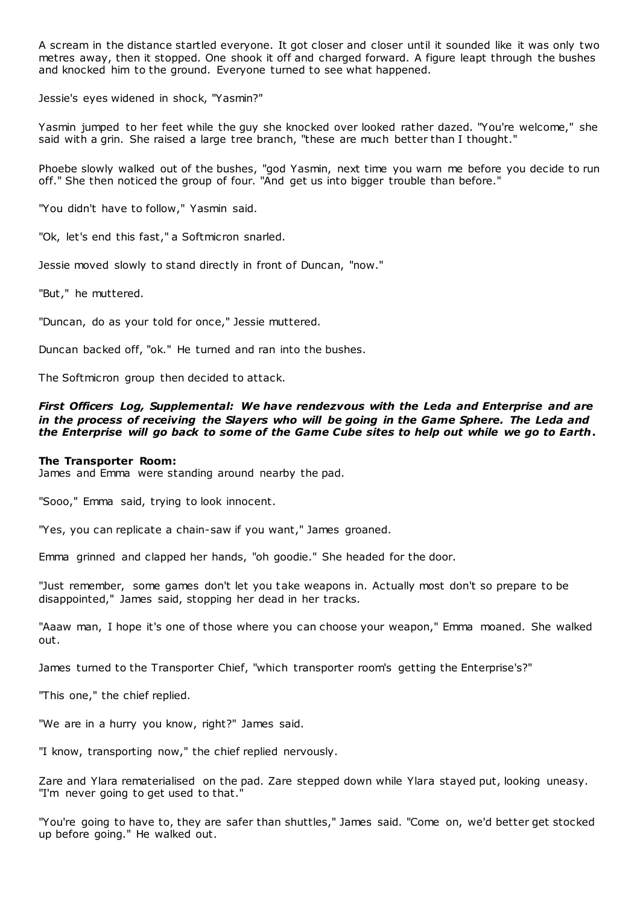A scream in the distance startled everyone. It got closer and closer until it sounded like it was only two metres away, then it stopped. One shook it off and charged forward. A figure leapt through the bushes and knocked him to the ground. Everyone turned to see what happened.

Jessie's eyes widened in shock, "Yasmin?"

Yasmin jumped to her feet while the guy she knocked over looked rather dazed. "You're welcome," she said with a grin. She raised a large tree branch, "these are much better than I thought."

Phoebe slowly walked out of the bushes, "god Yasmin, next time you warn me before you decide to run off." She then noticed the group of four. "And get us into bigger trouble than before."

"You didn't have to follow," Yasmin said.

"Ok, let's end this fast," a Softmicron snarled.

Jessie moved slowly to stand directly in front of Duncan, "now."

"But," he muttered.

"Duncan, do as your told for once," Jessie muttered.

Duncan backed off, "ok." He turned and ran into the bushes.

The Softmicron group then decided to attack.

# *First Officers Log, Supplemental: We have rendezvous with the Leda and Enterprise and are in the process of receiving the Slayers who will be going in the Game Sphere. The Leda and the Enterprise will go back to some of the Game Cube sites to help out while we go to Earth***.**

#### **The Transporter Room:**

James and Emma were standing around nearby the pad.

"Sooo," Emma said, trying to look innocent.

"Yes, you can replicate a chain-saw if you want," James groaned.

Emma grinned and clapped her hands, "oh goodie." She headed for the door.

"Just remember, some games don't let you take weapons in. Actually most don't so prepare to be disappointed," James said, stopping her dead in her tracks.

"Aaaw man, I hope it's one of those where you can choose your weapon," Emma moaned. She walked out.

James turned to the Transporter Chief, "which transporter room's getting the Enterprise's?"

"This one," the chief replied.

"We are in a hurry you know, right?" James said.

"I know, transporting now," the chief replied nervously.

Zare and Ylara rematerialised on the pad. Zare stepped down while Ylara stayed put, looking uneasy. "I'm never going to get used to that."

"You're going to have to, they are safer than shuttles," James said. "Come on, we'd better get stocked up before going." He walked out.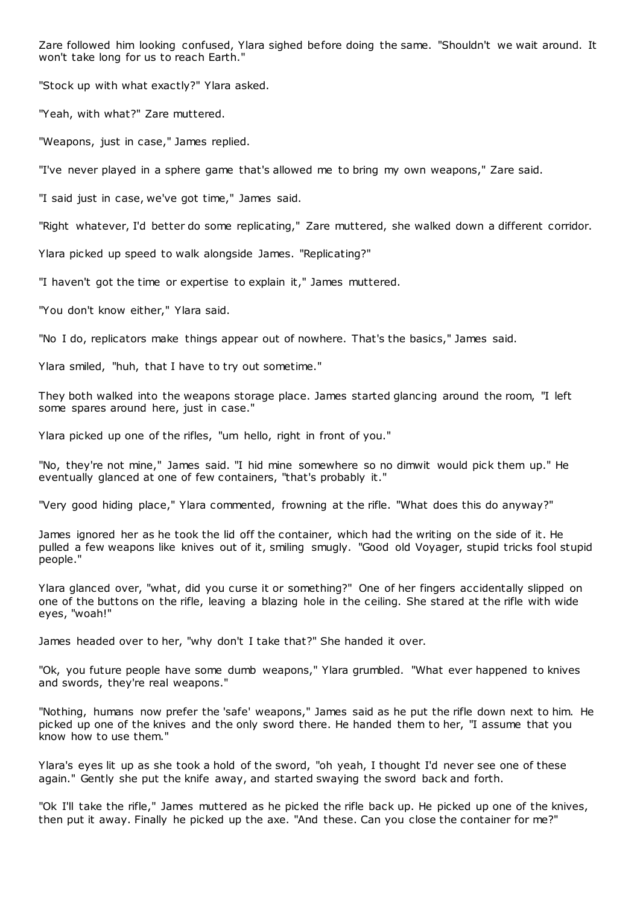Zare followed him looking confused, Ylara sighed before doing the same. "Shouldn't we wait around. It won't take long for us to reach Earth."

"Stock up with what exactly?" Ylara asked.

"Yeah, with what?" Zare muttered.

"Weapons, just in case," James replied.

"I've never played in a sphere game that's allowed me to bring my own weapons," Zare said.

"I said just in case, we've got time," James said.

"Right whatever, I'd better do some replicating," Zare muttered, she walked down a different corridor.

Ylara picked up speed to walk alongside James. "Replicating?"

"I haven't got the time or expertise to explain it," James muttered.

"You don't know either," Ylara said.

"No I do, replicators make things appear out of nowhere. That's the basics," James said.

Ylara smiled, "huh, that I have to try out sometime."

They both walked into the weapons storage place. James started glancing around the room, "I left some spares around here, just in case."

Ylara picked up one of the rifles, "um hello, right in front of you."

"No, they're not mine," James said. "I hid mine somewhere so no dimwit would pick them up." He eventually glanced at one of few containers, "that's probably it."

"Very good hiding place," Ylara commented, frowning at the rifle. "What does this do anyway?"

James ignored her as he took the lid off the container, which had the writing on the side of it. He pulled a few weapons like knives out of it, smiling smugly. "Good old Voyager, stupid tricks fool stupid people."

Ylara glanced over, "what, did you curse it or something?" One of her fingers accidentally slipped on one of the buttons on the rifle, leaving a blazing hole in the ceiling. She stared at the rifle with wide eyes, "woah!"

James headed over to her, "why don't I take that?" She handed it over.

"Ok, you future people have some dumb weapons," Ylara grumbled. "What ever happened to knives and swords, they're real weapons."

"Nothing, humans now prefer the 'safe' weapons," James said as he put the rifle down next to him. He picked up one of the knives and the only sword there. He handed them to her, "I assume that you know how to use them."

Ylara's eyes lit up as she took a hold of the sword, "oh yeah, I thought I'd never see one of these again." Gently she put the knife away, and started swaying the sword back and forth.

"Ok I'll take the rifle," James muttered as he picked the rifle back up. He picked up one of the knives, then put it away. Finally he picked up the axe. "And these. Can you close the container for me?"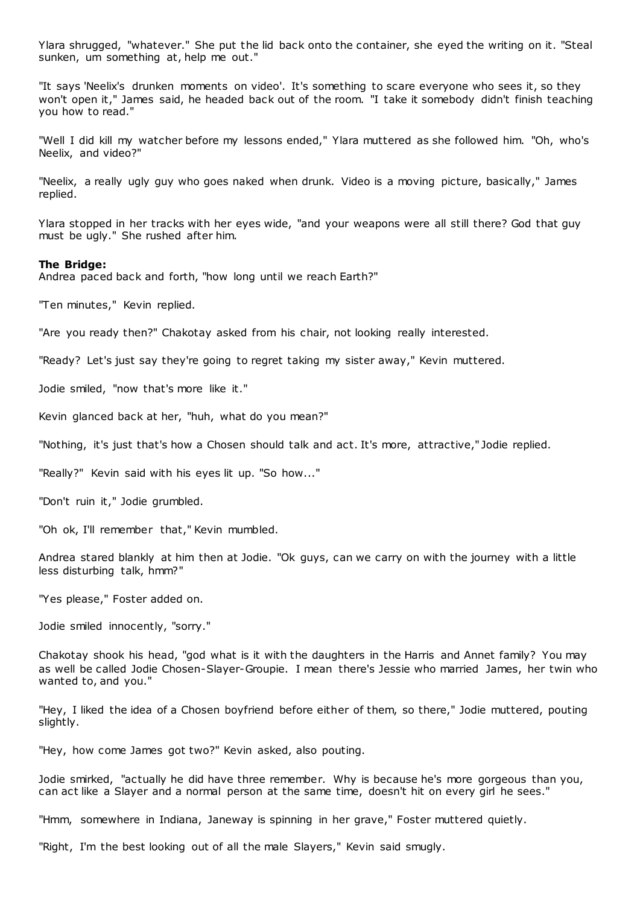Ylara shrugged, "whatever." She put the lid back onto the container, she eyed the writing on it. "Steal sunken, um something at, help me out."

"It says 'Neelix's drunken moments on video'. It's something to scare everyone who sees it, so they won't open it," James said, he headed back out of the room. "I take it somebody didn't finish teaching you how to read."

"Well I did kill my watcher before my lessons ended," Ylara muttered as she followed him. "Oh, who's Neelix, and video?"

"Neelix, a really ugly guy who goes naked when drunk. Video is a moving picture, basically," James replied.

Ylara stopped in her tracks with her eyes wide, "and your weapons were all still there? God that guy must be ugly." She rushed after him.

#### **The Bridge:**

Andrea paced back and forth, "how long until we reach Earth?"

"Ten minutes," Kevin replied.

"Are you ready then?" Chakotay asked from his chair, not looking really interested.

"Ready? Let's just say they're going to regret taking my sister away," Kevin muttered.

Jodie smiled, "now that's more like it."

Kevin glanced back at her, "huh, what do you mean?"

"Nothing, it's just that's how a Chosen should talk and act. It's more, attractive," Jodie replied.

"Really?" Kevin said with his eyes lit up. "So how..."

"Don't ruin it," Jodie grumbled.

"Oh ok, I'll remember that," Kevin mumbled.

Andrea stared blankly at him then at Jodie. "Ok guys, can we carry on with the journey with a little less disturbing talk, hmm?"

"Yes please," Foster added on.

Jodie smiled innocently, "sorry."

Chakotay shook his head, "god what is it with the daughters in the Harris and Annet family? You may as well be called Jodie Chosen-Slayer-Groupie. I mean there's Jessie who married James, her twin who wanted to, and you."

"Hey, I liked the idea of a Chosen boyfriend before either of them, so there," Jodie muttered, pouting slightly.

"Hey, how come James got two?" Kevin asked, also pouting.

Jodie smirked, "actually he did have three remember. Why is because he's more gorgeous than you, can act like a Slayer and a normal person at the same time, doesn't hit on every girl he sees."

"Hmm, somewhere in Indiana, Janeway is spinning in her grave," Foster muttered quietly.

"Right, I'm the best looking out of all the male Slayers," Kevin said smugly.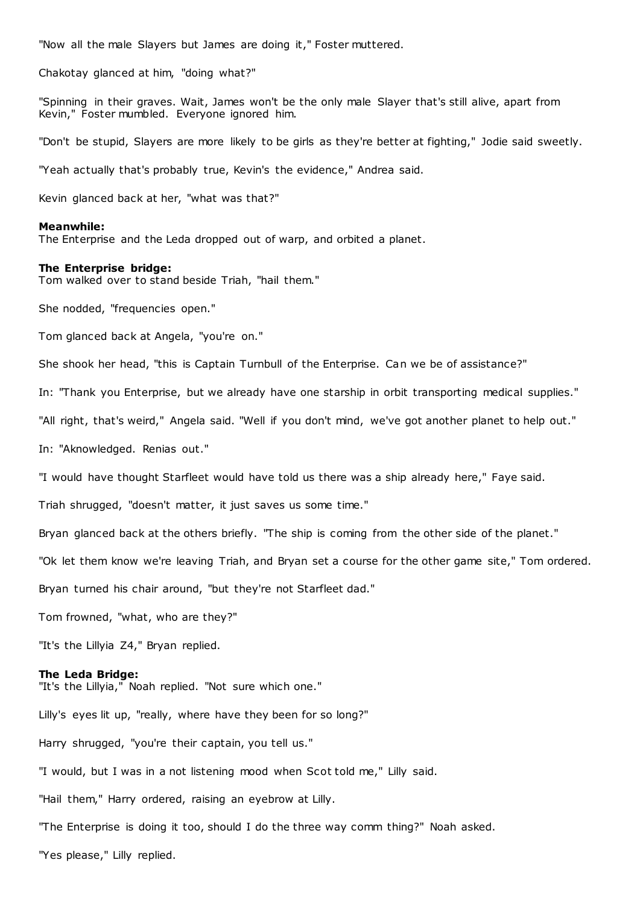"Now all the male Slayers but James are doing it," Foster muttered.

Chakotay glanced at him, "doing what?"

"Spinning in their graves. Wait, James won't be the only male Slayer that's still alive, apart from Kevin," Foster mumbled. Everyone ignored him.

"Don't be stupid, Slayers are more likely to be girls as they're better at fighting," Jodie said sweetly.

"Yeah actually that's probably true, Kevin's the evidence," Andrea said.

Kevin glanced back at her, "what was that?"

#### **Meanwhile:**

The Enterprise and the Leda dropped out of warp, and orbited a planet.

#### **The Enterprise bridge:**

Tom walked over to stand beside Triah, "hail them."

She nodded, "frequencies open."

Tom glanced back at Angela, "you're on."

She shook her head, "this is Captain Turnbull of the Enterprise. Can we be of assistance?"

In: "Thank you Enterprise, but we already have one starship in orbit transporting medical supplies."

"All right, that's weird," Angela said. "Well if you don't mind, we've got another planet to help out."

In: "Aknowledged. Renias out."

"I would have thought Starfleet would have told us there was a ship already here," Faye said.

Triah shrugged, "doesn't matter, it just saves us some time."

Bryan glanced back at the others briefly. "The ship is coming from the other side of the planet."

"Ok let them know we're leaving Triah, and Bryan set a course for the other game site," Tom ordered.

Bryan turned his chair around, "but they're not Starfleet dad."

Tom frowned, "what, who are they?"

"It's the Lillyia Z4," Bryan replied.

### **The Leda Bridge:**

"It's the Lillyia," Noah replied. "Not sure which one."

Lilly's eyes lit up, "really, where have they been for so long?" Harry shrugged, "you're their captain, you tell us." "I would, but I was in a not listening mood when Scot told me," Lilly said. "Hail them," Harry ordered, raising an eyebrow at Lilly. "The Enterprise is doing it too, should I do the three way comm thing?" Noah asked. "Yes please," Lilly replied.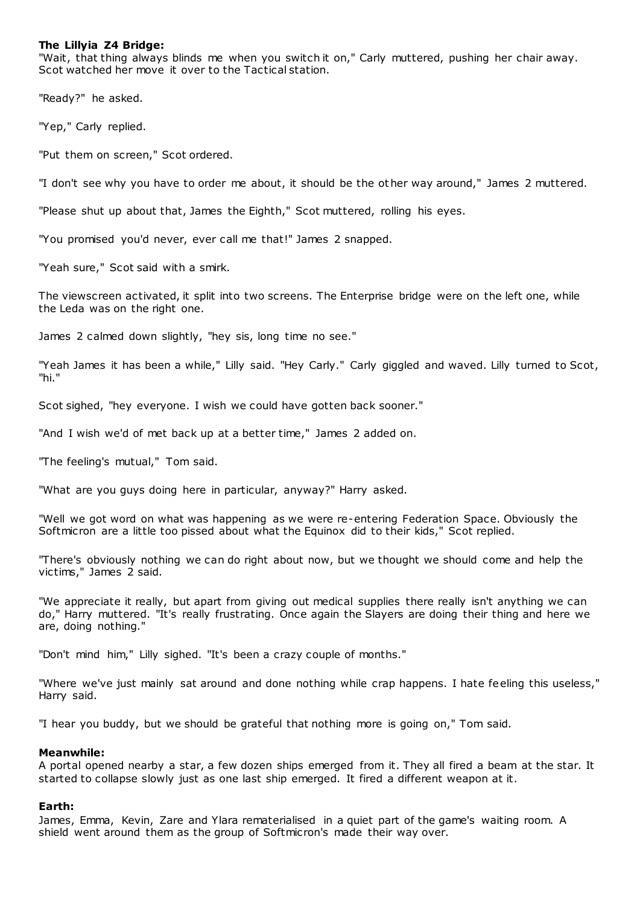# **The Lillyia Z4 Bridge:**

"Wait, that thing always blinds me when you switch it on," Carly muttered, pushing her chair away. Scot watched her move it over to the Tactical station.

"Ready?" he asked.

"Yep," Carly replied.

"Put them on screen," Scot ordered.

"I don't see why you have to order me about, it should be the other way around," James 2 muttered.

"Please shut up about that, James the Eighth," Scot muttered, rolling his eyes.

"You promised you'd never, ever call me that!" James 2 snapped.

"Yeah sure," Scot said with a smirk.

The viewscreen activated, it split into two screens. The Enterprise bridge were on the left one, while the Leda was on the right one.

James 2 calmed down slightly, "hey sis, long time no see."

"Yeah James it has been a while," Lilly said. "Hey Carly." Carly giggled and waved. Lilly turned to Scot, "hi."

Scot sighed, "hey everyone. I wish we could have gotten back sooner."

"And I wish we'd of met back up at a better time," James 2 added on.

"The feeling's mutual," Tom said.

"What are you guys doing here in particular, anyway?" Harry asked.

"Well we got word on what was happening as we were re-entering Federation Space. Obviously the Softmicron are a little too pissed about what the Equinox did to their kids," Scot replied.

"There's obviously nothing we can do right about now, but we thought we should come and help the victims," James 2 said.

"We appreciate it really, but apart from giving out medical supplies there really isn't anything we can do," Harry muttered. "It's really frustrating. Once again the Slayers are doing their thing and here we are, doing nothing."

"Don't mind him," Lilly sighed. "It's been a crazy couple of months."

"Where we've just mainly sat around and done nothing while crap happens. I hate feeling this useless," Harry said.

"I hear you buddy, but we should be grateful that nothing more is going on," Tom said.

# **Meanwhile:**

A portal opened nearby a star, a few dozen ships emerged from it. They all fired a beam at the star. It started to collapse slowly just as one last ship emerged. It fired a different weapon at it.

# **Earth:**

James, Emma, Kevin, Zare and Ylara rematerialised in a quiet part of the game's waiting room. A shield went around them as the group of Softmicron's made their way over.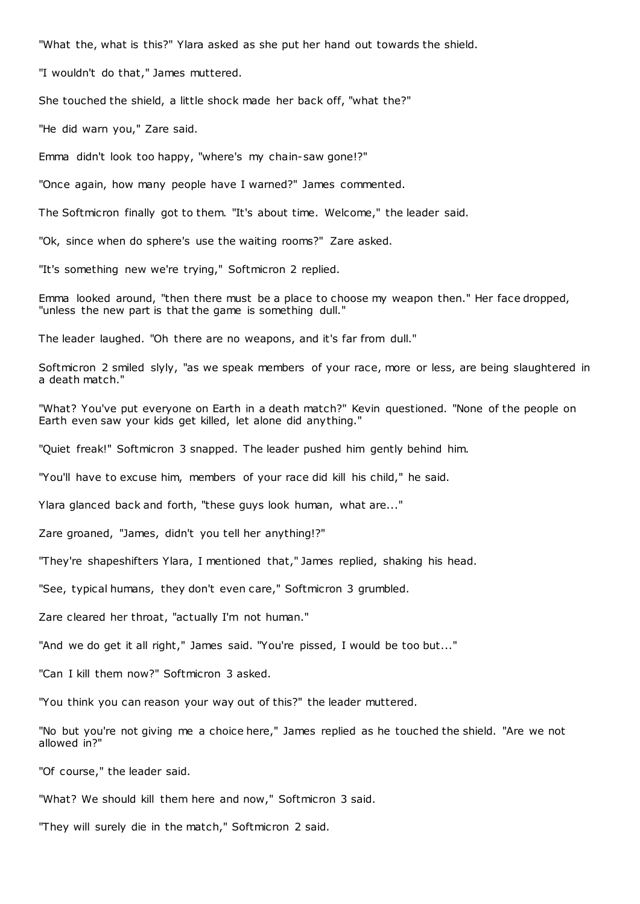"What the, what is this?" Ylara asked as she put her hand out towards the shield.

"I wouldn't do that," James muttered.

She touched the shield, a little shock made her back off, "what the?"

"He did warn you," Zare said.

Emma didn't look too happy, "where's my chain-saw gone!?"

"Once again, how many people have I warned?" James commented.

The Softmicron finally got to them. "It's about time. Welcome," the leader said.

"Ok, since when do sphere's use the waiting rooms?" Zare asked.

"It's something new we're trying," Softmicron 2 replied.

Emma looked around, "then there must be a place to choose my weapon then." Her face dropped, "unless the new part is that the game is something dull."

The leader laughed. "Oh there are no weapons, and it's far from dull."

Softmicron 2 smiled slyly, "as we speak members of your race, more or less, are being slaughtered in a death match."

"What? You've put everyone on Earth in a death match?" Kevin questioned. "None of the people on Earth even saw your kids get killed, let alone did anything."

"Quiet freak!" Softmicron 3 snapped. The leader pushed him gently behind him.

"You'll have to excuse him, members of your race did kill his child," he said.

Ylara glanced back and forth, "these guys look human, what are..."

Zare groaned, "James, didn't you tell her anything!?"

"They're shapeshifters Ylara, I mentioned that," James replied, shaking his head.

"See, typical humans, they don't even care," Softmicron 3 grumbled.

Zare cleared her throat, "actually I'm not human."

"And we do get it all right," James said. "You're pissed, I would be too but..."

"Can I kill them now?" Softmicron 3 asked.

"You think you can reason your way out of this?" the leader muttered.

"No but you're not giving me a choice here," James replied as he touched the shield. "Are we not allowed in?"

"Of course," the leader said.

"What? We should kill them here and now," Softmicron 3 said.

"They will surely die in the match," Softmicron 2 said.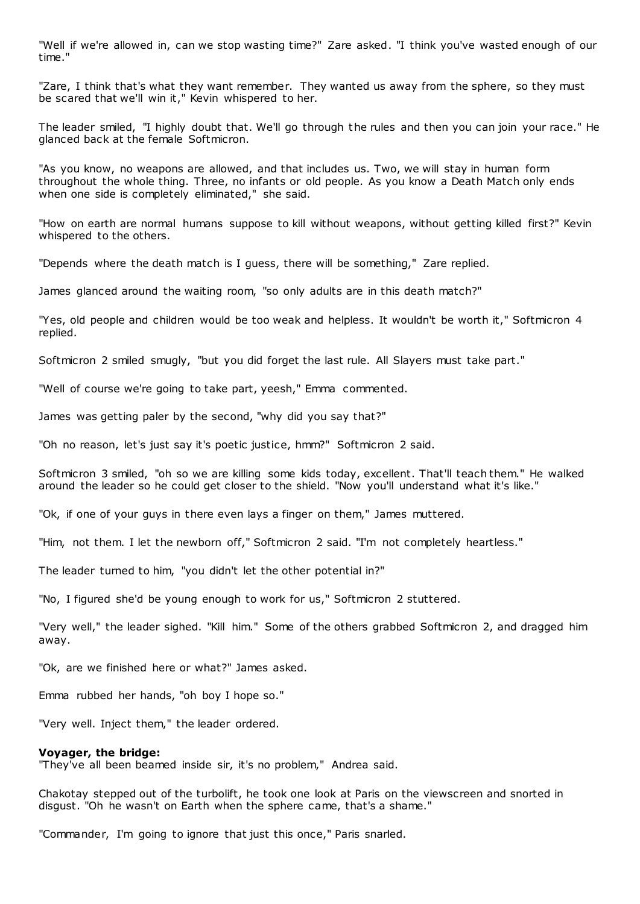"Well if we're allowed in, can we stop wasting time?" Zare asked. "I think you've wasted enough of our time."

"Zare, I think that's what they want remember. They wanted us away from the sphere, so they must be scared that we'll win it," Kevin whispered to her.

The leader smiled, "I highly doubt that. We'll go through the rules and then you can join your race." He glanced back at the female Softmicron.

"As you know, no weapons are allowed, and that includes us. Two, we will stay in human form throughout the whole thing. Three, no infants or old people. As you know a Death Match only ends when one side is completely eliminated," she said.

"How on earth are normal humans suppose to kill without weapons, without getting killed first?" Kevin whispered to the others.

"Depends where the death match is I guess, there will be something," Zare replied.

James glanced around the waiting room, "so only adults are in this death match?"

"Yes, old people and children would be too weak and helpless. It wouldn't be worth it," Softmicron 4 replied.

Softmicron 2 smiled smugly, "but you did forget the last rule. All Slayers must take part."

"Well of course we're going to take part, yeesh," Emma commented.

James was getting paler by the second, "why did you say that?"

"Oh no reason, let's just say it's poetic justice, hmm?" Softmicron 2 said.

Softmicron 3 smiled, "oh so we are killing some kids today, excellent. That'll teach them." He walked around the leader so he could get closer to the shield. "Now you'll understand what it's like."

"Ok, if one of your guys in there even lays a finger on them," James muttered.

"Him, not them. I let the newborn off," Softmicron 2 said. "I'm not completely heartless."

The leader turned to him, "you didn't let the other potential in?"

"No, I figured she'd be young enough to work for us," Softmicron 2 stuttered.

"Very well," the leader sighed. "Kill him." Some of the others grabbed Softmicron 2, and dragged him away.

"Ok, are we finished here or what?" James asked.

Emma rubbed her hands, "oh boy I hope so."

"Very well. Inject them," the leader ordered.

#### **Voyager, the bridge:**

"They've all been beamed inside sir, it's no problem," Andrea said.

Chakotay stepped out of the turbolift, he took one look at Paris on the viewscreen and snorted in disgust. "Oh he wasn't on Earth when the sphere came, that's a shame."

"Commander, I'm going to ignore that just this once," Paris snarled.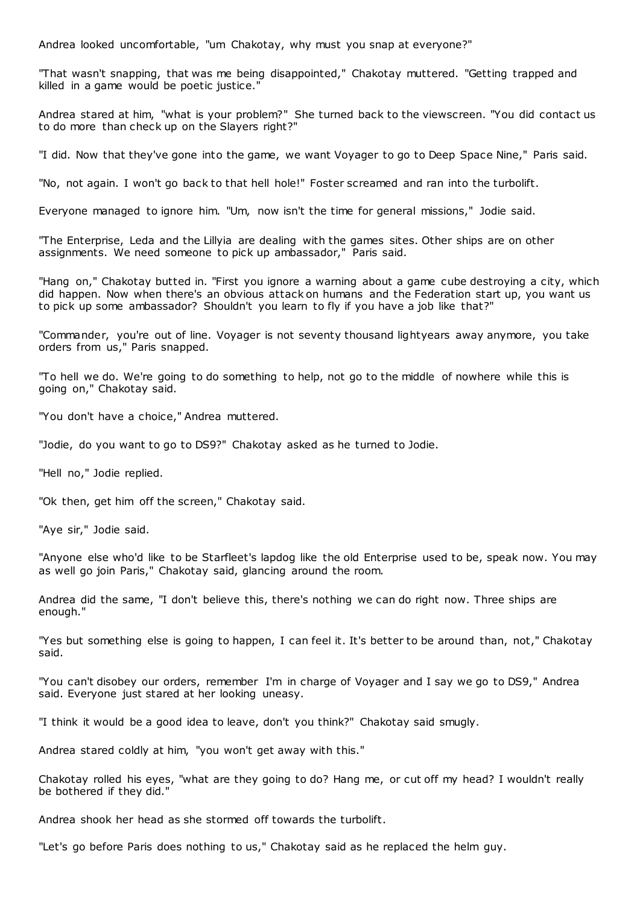Andrea looked uncomfortable, "um Chakotay, why must you snap at everyone?"

"That wasn't snapping, that was me being disappointed," Chakotay muttered. "Getting trapped and killed in a game would be poetic justice."

Andrea stared at him, "what is your problem?" She turned back to the viewscreen. "You did contact us to do more than check up on the Slayers right?"

"I did. Now that they've gone into the game, we want Voyager to go to Deep Space Nine," Paris said.

"No, not again. I won't go back to that hell hole!" Foster screamed and ran into the turbolift.

Everyone managed to ignore him. "Um, now isn't the time for general missions," Jodie said.

"The Enterprise, Leda and the Lillyia are dealing with the games sites. Other ships are on other assignments. We need someone to pick up ambassador," Paris said.

"Hang on," Chakotay butted in. "First you ignore a warning about a game cube destroying a city, which did happen. Now when there's an obvious attack on humans and the Federation start up, you want us to pick up some ambassador? Shouldn't you learn to fly if you have a job like that?"

"Commander, you're out of line. Voyager is not seventy thousand lightyears away anymore, you take orders from us," Paris snapped.

"To hell we do. We're going to do something to help, not go to the middle of nowhere while this is going on," Chakotay said.

"You don't have a choice," Andrea muttered.

"Jodie, do you want to go to DS9?" Chakotay asked as he turned to Jodie.

"Hell no," Jodie replied.

"Ok then, get him off the screen," Chakotay said.

"Aye sir," Jodie said.

"Anyone else who'd like to be Starfleet's lapdog like the old Enterprise used to be, speak now. You may as well go join Paris," Chakotay said, glancing around the room.

Andrea did the same, "I don't believe this, there's nothing we can do right now. Three ships are enough."

"Yes but something else is going to happen, I can feel it. It's better to be around than, not," Chakotay said.

"You can't disobey our orders, remember I'm in charge of Voyager and I say we go to DS9," Andrea said. Everyone just stared at her looking uneasy.

"I think it would be a good idea to leave, don't you think?" Chakotay said smugly.

Andrea stared coldly at him, "you won't get away with this."

Chakotay rolled his eyes, "what are they going to do? Hang me, or cut off my head? I wouldn't really be bothered if they did."

Andrea shook her head as she stormed off towards the turbolift.

"Let's go before Paris does nothing to us," Chakotay said as he replaced the helm guy.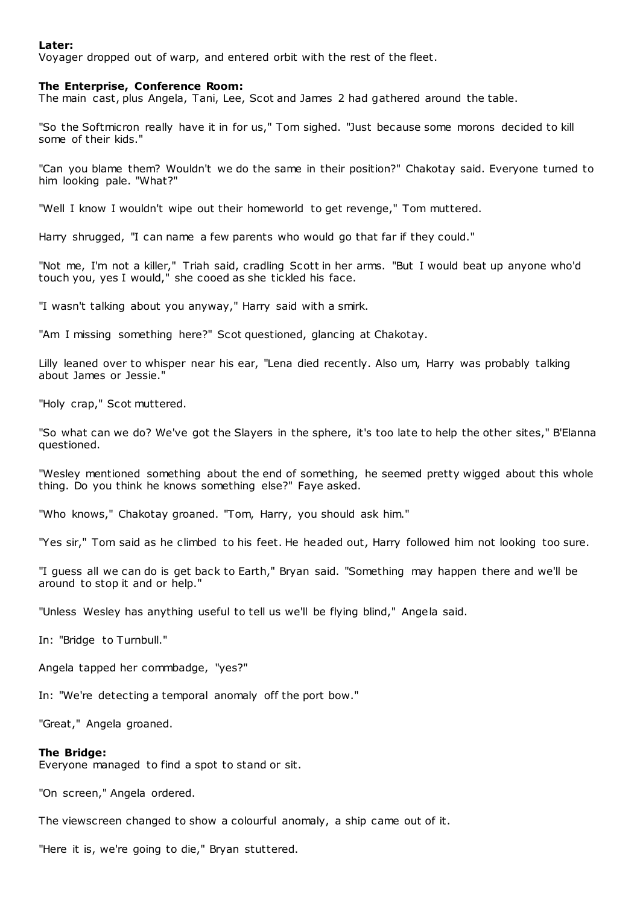# **Later:**

Voyager dropped out of warp, and entered orbit with the rest of the fleet.

#### **The Enterprise, Conference Room:**

The main cast, plus Angela, Tani, Lee, Scot and James 2 had gathered around the table.

"So the Softmicron really have it in for us," Tom sighed. "Just because some morons decided to kill some of their kids."

"Can you blame them? Wouldn't we do the same in their position?" Chakotay said. Everyone turned to him looking pale. "What?"

"Well I know I wouldn't wipe out their homeworld to get revenge," Tom muttered.

Harry shrugged, "I can name a few parents who would go that far if they could."

"Not me, I'm not a killer," Triah said, cradling Scott in her arms. "But I would beat up anyone who'd touch you, yes I would," she cooed as she tickled his face.

"I wasn't talking about you anyway," Harry said with a smirk.

"Am I missing something here?" Scot questioned, glancing at Chakotay.

Lilly leaned over to whisper near his ear, "Lena died recently. Also um, Harry was probably talking about James or Jessie."

"Holy crap," Scot muttered.

"So what can we do? We've got the Slayers in the sphere, it's too late to help the other sites," B'Elanna questioned.

"Wesley mentioned something about the end of something, he seemed pretty wigged about this whole thing. Do you think he knows something else?" Faye asked.

"Who knows," Chakotay groaned. "Tom, Harry, you should ask him."

"Yes sir," Tom said as he climbed to his feet. He headed out, Harry followed him not looking too sure.

"I guess all we can do is get back to Earth," Bryan said. "Something may happen there and we'll be around to stop it and or help."

"Unless Wesley has anything useful to tell us we'll be flying blind," Angela said.

In: "Bridge to Turnbull."

Angela tapped her commbadge, "yes?"

In: "We're detecting a temporal anomaly off the port bow."

"Great," Angela groaned.

#### **The Bridge:**

Everyone managed to find a spot to stand or sit.

"On screen," Angela ordered.

The viewscreen changed to show a colourful anomaly, a ship came out of it.

"Here it is, we're going to die," Bryan stuttered.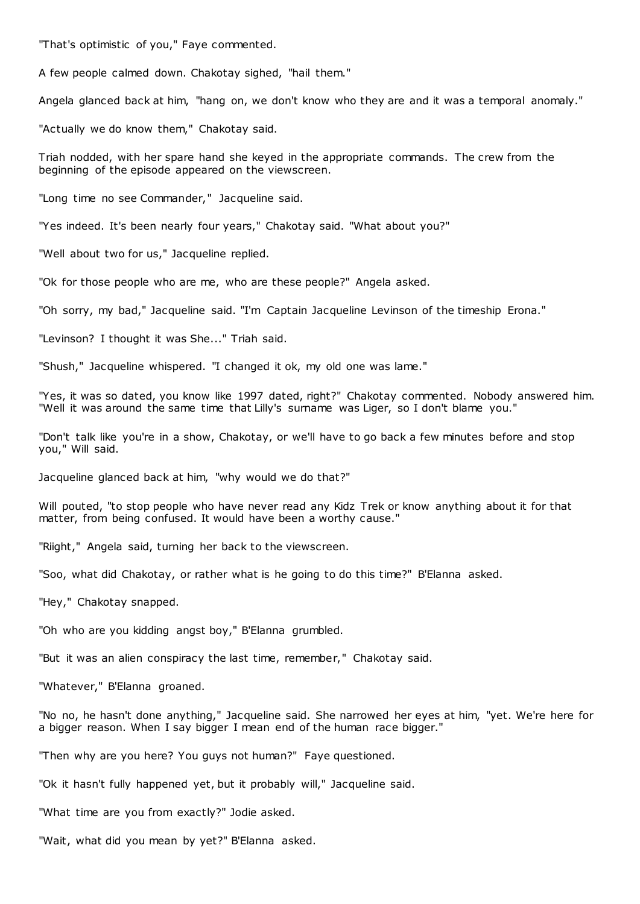"That's optimistic of you," Faye commented.

A few people calmed down. Chakotay sighed, "hail them."

Angela glanced back at him, "hang on, we don't know who they are and it was a temporal anomaly."

"Actually we do know them," Chakotay said.

Triah nodded, with her spare hand she keyed in the appropriate commands. The crew from the beginning of the episode appeared on the viewscreen.

"Long time no see Commander," Jacqueline said.

"Yes indeed. It's been nearly four years," Chakotay said. "What about you?"

"Well about two for us," Jacqueline replied.

"Ok for those people who are me, who are these people?" Angela asked.

"Oh sorry, my bad," Jacqueline said. "I'm Captain Jacqueline Levinson of the timeship Erona."

"Levinson? I thought it was She..." Triah said.

"Shush," Jacqueline whispered. "I changed it ok, my old one was lame."

"Yes, it was so dated, you know like 1997 dated, right?" Chakotay commented. Nobody answered him. "Well it was around the same time that Lilly's surname was Liger, so I don't blame you."

"Don't talk like you're in a show, Chakotay, or we'll have to go back a few minutes before and stop you," Will said.

Jacqueline glanced back at him, "why would we do that?"

Will pouted, "to stop people who have never read any Kidz Trek or know anything about it for that matter, from being confused. It would have been a worthy cause."

"Riight," Angela said, turning her back to the viewscreen.

"Soo, what did Chakotay, or rather what is he going to do this time?" B'Elanna asked.

"Hey," Chakotay snapped.

"Oh who are you kidding angst boy," B'Elanna grumbled.

"But it was an alien conspiracy the last time, remember," Chakotay said.

"Whatever," B'Elanna groaned.

"No no, he hasn't done anything," Jacqueline said. She narrowed her eyes at him, "yet. We're here for a bigger reason. When I say bigger I mean end of the human race bigger."

"Then why are you here? You guys not human?" Faye questioned.

"Ok it hasn't fully happened yet, but it probably will," Jacqueline said.

"What time are you from exactly?" Jodie asked.

"Wait, what did you mean by yet?" B'Elanna asked.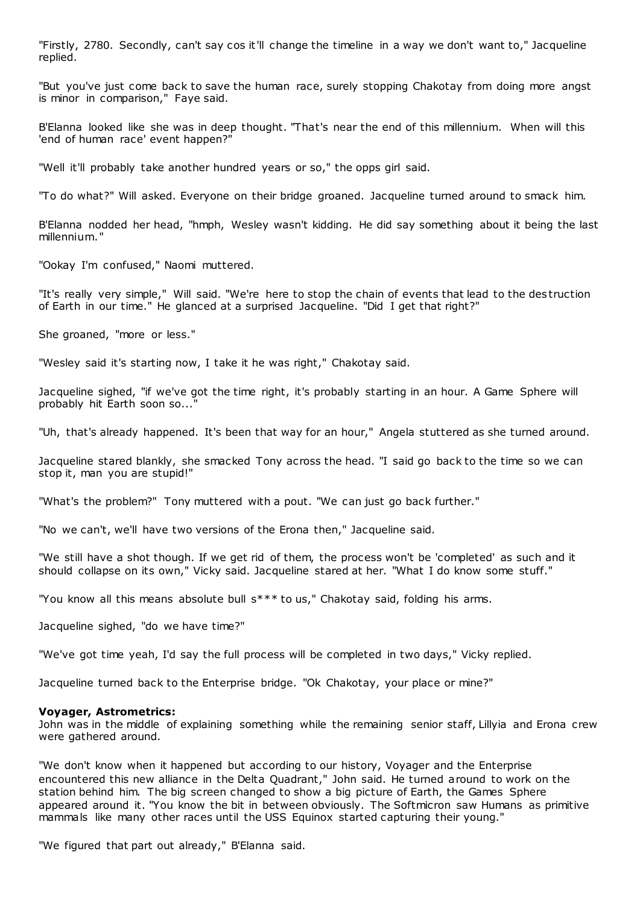"Firstly, 2780. Secondly, can't say cos it'll change the timeline in a way we don't want to," Jacqueline replied.

"But you've just come back to save the human race, surely stopping Chakotay from doing more angst is minor in comparison," Faye said.

B'Elanna looked like she was in deep thought. "That's near the end of this millennium. When will this 'end of human race' event happen?"

"Well it'll probably take another hundred years or so," the opps girl said.

"To do what?" Will asked. Everyone on their bridge groaned. Jacqueline turned around to smack him.

B'Elanna nodded her head, "hmph, Wesley wasn't kidding. He did say something about it being the last millennium."

"Ookay I'm confused," Naomi muttered.

"It's really very simple," Will said. "We're here to stop the chain of events that lead to the des truction of Earth in our time." He glanced at a surprised Jacqueline. "Did I get that right?"

She groaned, "more or less."

"Wesley said it's starting now, I take it he was right," Chakotay said.

Jacqueline sighed, "if we've got the time right, it's probably starting in an hour. A Game Sphere will probably hit Earth soon so...

"Uh, that's already happened. It's been that way for an hour," Angela stuttered as she turned around.

Jacqueline stared blankly, she smacked Tony across the head. "I said go back to the time so we can stop it, man you are stupid!"

"What's the problem?" Tony muttered with a pout. "We can just go back further."

"No we can't, we'll have two versions of the Erona then," Jacqueline said.

"We still have a shot though. If we get rid of them, the process won't be 'completed' as such and it should collapse on its own," Vicky said. Jacqueline stared at her. "What I do know some stuff."

"You know all this means absolute bull s\*\*\* to us," Chakotay said, folding his arms.

Jacqueline sighed, "do we have time?"

"We've got time yeah, I'd say the full process will be completed in two days," Vicky replied.

Jacqueline turned back to the Enterprise bridge. "Ok Chakotay, your place or mine?"

# **Voyager, Astrometrics:**

John was in the middle of explaining something while the remaining senior staff, Lillyia and Erona crew were gathered around.

"We don't know when it happened but according to our history, Voyager and the Enterprise encountered this new alliance in the Delta Quadrant," John said. He turned around to work on the station behind him. The big screen changed to show a big picture of Earth, the Games Sphere appeared around it. "You know the bit in between obviously. The Softmicron saw Humans as primitive mammals like many other races until the USS Equinox started capturing their young."

"We figured that part out already," B'Elanna said.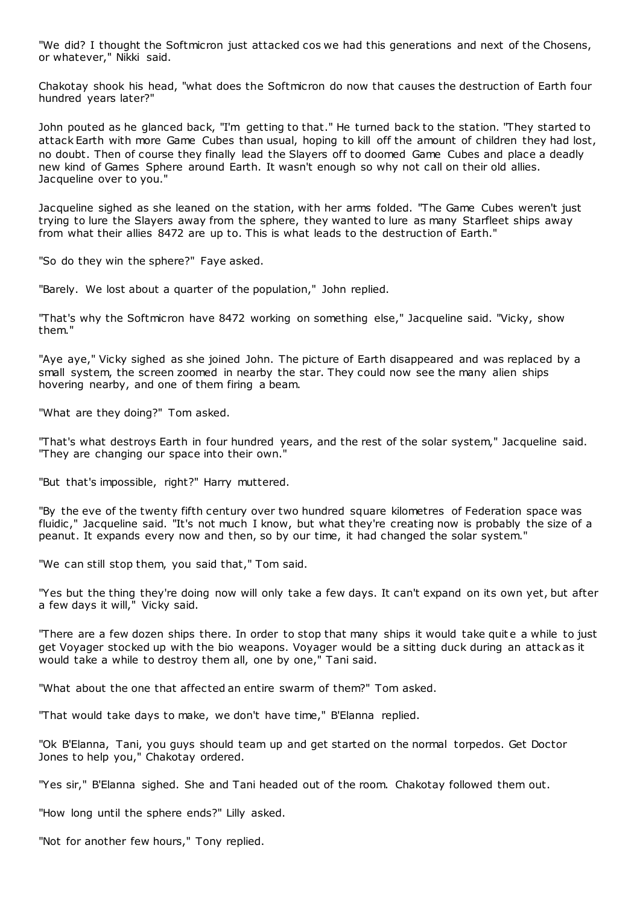"We did? I thought the Softmicron just attacked cos we had this generations and next of the Chosens, or whatever," Nikki said.

Chakotay shook his head, "what does the Softmicron do now that causes the destruction of Earth four hundred years later?"

John pouted as he glanced back, "I'm getting to that." He turned back to the station. "They started to attack Earth with more Game Cubes than usual, hoping to kill off the amount of children they had lost, no doubt. Then of course they finally lead the Slayers off to doomed Game Cubes and place a deadly new kind of Games Sphere around Earth. It wasn't enough so why not call on their old allies. Jacqueline over to you."

Jacqueline sighed as she leaned on the station, with her arms folded. "The Game Cubes weren't just trying to lure the Slayers away from the sphere, they wanted to lure as many Starfleet ships away from what their allies 8472 are up to. This is what leads to the destruction of Earth."

"So do they win the sphere?" Faye asked.

"Barely. We lost about a quarter of the population," John replied.

"That's why the Softmicron have 8472 working on something else," Jacqueline said. "Vicky, show them."

"Aye aye," Vicky sighed as she joined John. The picture of Earth disappeared and was replaced by a small system, the screen zoomed in nearby the star. They could now see the many alien ships hovering nearby, and one of them firing a beam.

"What are they doing?" Tom asked.

"That's what destroys Earth in four hundred years, and the rest of the solar system," Jacqueline said. "They are changing our space into their own."

"But that's impossible, right?" Harry muttered.

"By the eve of the twenty fifth century over two hundred square kilometres of Federation space was fluidic ," Jacqueline said. "It's not much I know, but what they're creating now is probably the size of a peanut. It expands every now and then, so by our time, it had changed the solar system."

"We can still stop them, you said that," Tom said.

"Yes but the thing they're doing now will only take a few days. It can't expand on its own yet, but after a few days it will," Vicky said.

"There are a few dozen ships there. In order to stop that many ships it would take quit e a while to just get Voyager stocked up with the bio weapons. Voyager would be a sitting duck during an attack as it would take a while to destroy them all, one by one," Tani said.

"What about the one that affected an entire swarm of them?" Tom asked.

"That would take days to make, we don't have time," B'Elanna replied.

"Ok B'Elanna, Tani, you guys should team up and get started on the normal torpedos. Get Doctor Jones to help you," Chakotay ordered.

"Yes sir," B'Elanna sighed. She and Tani headed out of the room. Chakotay followed them out.

"How long until the sphere ends?" Lilly asked.

"Not for another few hours," Tony replied.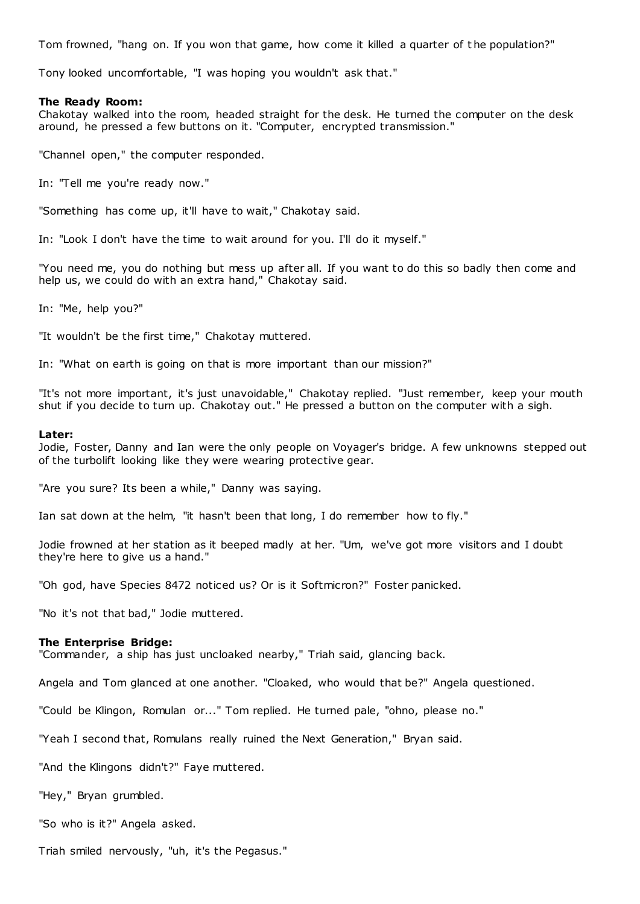Tom frowned, "hang on. If you won that game, how come it killed a quarter of t he population?"

Tony looked uncomfortable, "I was hoping you wouldn't ask that."

# **The Ready Room:**

Chakotay walked into the room, headed straight for the desk. He turned the computer on the desk around, he pressed a few buttons on it. "Computer, encrypted transmission."

"Channel open," the computer responded.

In: "Tell me you're ready now."

"Something has come up, it'll have to wait," Chakotay said.

In: "Look I don't have the time to wait around for you. I'll do it myself."

"You need me, you do nothing but mess up after all. If you want to do this so badly then come and help us, we could do with an extra hand," Chakotay said.

In: "Me, help you?"

"It wouldn't be the first time," Chakotay muttered.

In: "What on earth is going on that is more important than our mission?"

"It's not more important, it's just unavoidable," Chakotay replied. "Just remember, keep your mouth shut if you decide to turn up. Chakotay out." He pressed a button on the computer with a sigh.

#### **Later:**

Jodie, Foster, Danny and Ian were the only people on Voyager's bridge. A few unknowns stepped out of the turbolift looking like they were wearing protective gear.

"Are you sure? Its been a while," Danny was saying.

Ian sat down at the helm, "it hasn't been that long, I do remember how to fly."

Jodie frowned at her station as it beeped madly at her. "Um, we've got more visitors and I doubt they're here to give us a hand."

"Oh god, have Species 8472 noticed us? Or is it Softmicron?" Foster panicked.

"No it's not that bad," Jodie muttered.

#### **The Enterprise Bridge:**

"Commander, a ship has just uncloaked nearby," Triah said, glancing back.

Angela and Tom glanced at one another. "Cloaked, who would that be?" Angela questioned.

"Could be Klingon, Romulan or..." Tom replied. He turned pale, "ohno, please no."

"Yeah I second that, Romulans really ruined the Next Generation," Bryan said.

"And the Klingons didn't?" Faye muttered.

"Hey," Bryan grumbled.

"So who is it?" Angela asked.

Triah smiled nervously, "uh, it's the Pegasus."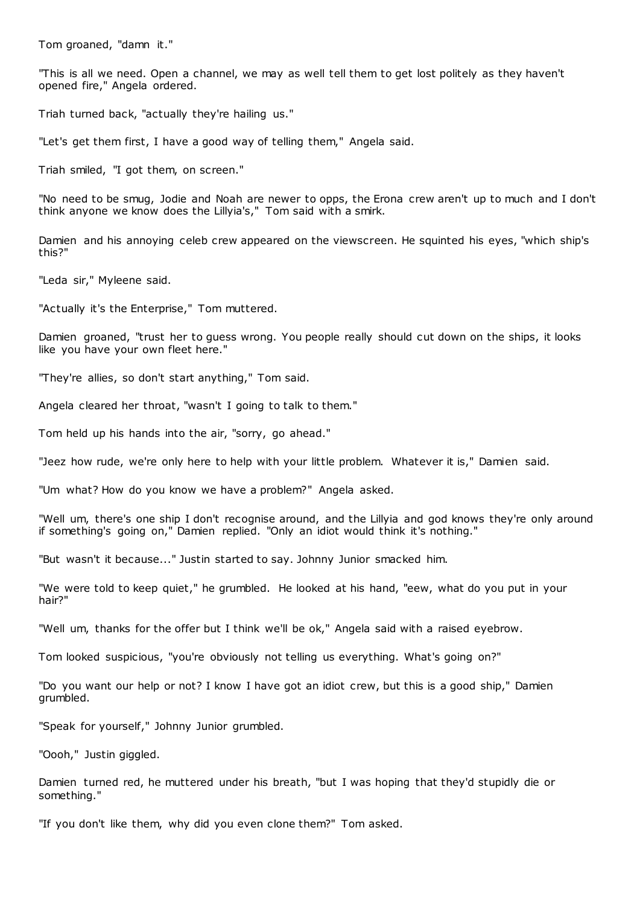Tom groaned, "damn it."

"This is all we need. Open a channel, we may as well tell them to get lost politely as they haven't opened fire," Angela ordered.

Triah turned back, "actually they're hailing us."

"Let's get them first, I have a good way of telling them," Angela said.

Triah smiled, "I got them, on screen."

"No need to be smug, Jodie and Noah are newer to opps, the Erona crew aren't up to much and I don't think anyone we know does the Lillyia's," Tom said with a smirk.

Damien and his annoying celeb crew appeared on the viewscreen. He squinted his eyes, "which ship's this?"

"Leda sir," Myleene said.

"Actually it's the Enterprise," Tom muttered.

Damien groaned, "trust her to guess wrong. You people really should cut down on the ships, it looks like you have your own fleet here."

"They're allies, so don't start anything," Tom said.

Angela cleared her throat, "wasn't I going to talk to them."

Tom held up his hands into the air, "sorry, go ahead."

"Jeez how rude, we're only here to help with your little problem. Whatever it is," Damien said.

"Um what? How do you know we have a problem?" Angela asked.

"Well um, there's one ship I don't recognise around, and the Lillyia and god knows they're only around if something's going on," Damien replied. "Only an idiot would think it's nothing."

"But wasn't it because..." Justin started to say. Johnny Junior smacked him.

"We were told to keep quiet," he grumbled. He looked at his hand, "eew, what do you put in your hair?"

"Well um, thanks for the offer but I think we'll be ok," Angela said with a raised eyebrow.

Tom looked suspicious, "you're obviously not telling us everything. What's going on?"

"Do you want our help or not? I know I have got an idiot crew, but this is a good ship," Damien grumbled.

"Speak for yourself," Johnny Junior grumbled.

"Oooh," Justin giggled.

Damien turned red, he muttered under his breath, "but I was hoping that they'd stupidly die or something."

"If you don't like them, why did you even clone them?" Tom asked.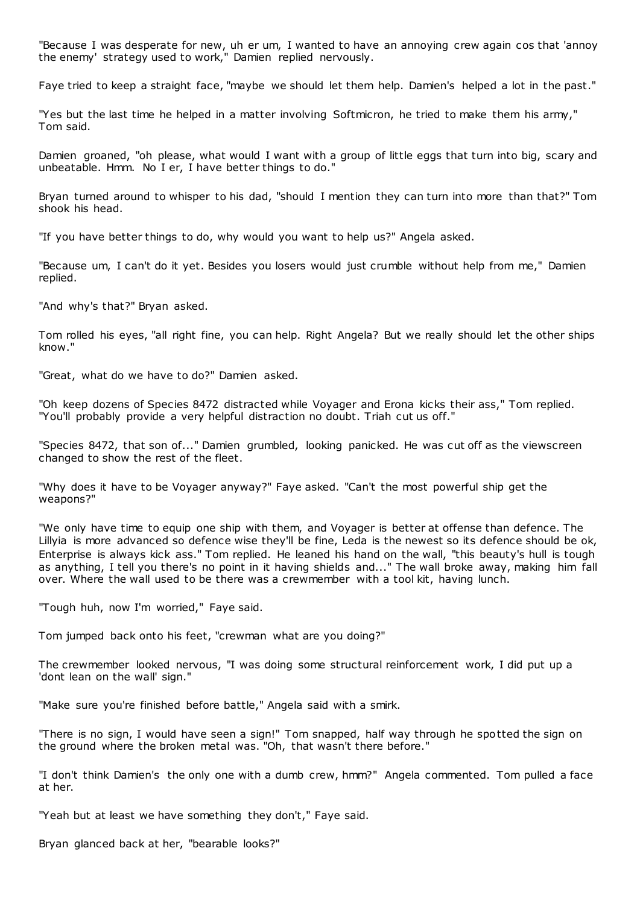"Because I was desperate for new, uh er um, I wanted to have an annoying crew again cos that 'annoy the enemy' strategy used to work," Damien replied nervously.

Faye tried to keep a straight face, "maybe we should let them help. Damien's helped a lot in the past."

"Yes but the last time he helped in a matter involving Softmicron, he tried to make them his army," Tom said.

Damien groaned, "oh please, what would I want with a group of little eggs that turn into big, scary and unbeatable. Hmm. No I er, I have better things to do."

Bryan turned around to whisper to his dad, "should I mention they can turn into more than that?" Tom shook his head.

"If you have better things to do, why would you want to help us?" Angela asked.

"Because um, I can't do it yet. Besides you losers would just crumble without help from me," Damien replied.

"And why's that?" Bryan asked.

Tom rolled his eyes, "all right fine, you can help. Right Angela? But we really should let the other ships know."

"Great, what do we have to do?" Damien asked.

"Oh keep dozens of Species 8472 distracted while Voyager and Erona kicks their ass," Tom replied. "You'll probably provide a very helpful distraction no doubt. Triah cut us off."

"Species 8472, that son of..." Damien grumbled, looking panicked. He was cut off as the viewscreen changed to show the rest of the fleet.

"Why does it have to be Voyager anyway?" Faye asked. "Can't the most powerful ship get the weapons?"

"We only have time to equip one ship with them, and Voyager is better at offense than defence. The Lillyia is more advanced so defence wise they'll be fine, Leda is the newest so its defence should be ok, Enterprise is always kick ass." Tom replied. He leaned his hand on the wall, "this beauty's hull is tough as anything, I tell you there's no point in it having shields and..." The wall broke away, making him fall over. Where the wall used to be there was a crewmember with a tool kit, having lunch.

"Tough huh, now I'm worried," Faye said.

Tom jumped back onto his feet, "crewman what are you doing?"

The crewmember looked nervous, "I was doing some structural reinforcement work, I did put up a 'dont lean on the wall' sign."

"Make sure you're finished before battle," Angela said with a smirk.

"There is no sign, I would have seen a sign!" Tom snapped, half way through he spotted the sign on the ground where the broken metal was. "Oh, that wasn't there before."

"I don't think Damien's the only one with a dumb crew, hmm?" Angela commented. Tom pulled a face at her.

"Yeah but at least we have something they don't," Faye said.

Bryan glanced back at her, "bearable looks?"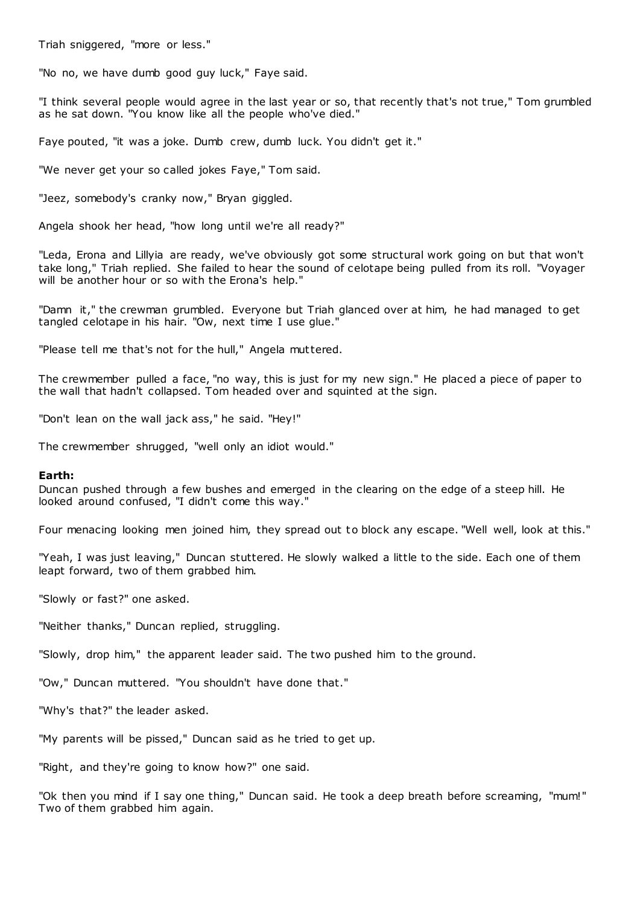Triah sniggered, "more or less."

"No no, we have dumb good guy luck," Faye said.

"I think several people would agree in the last year or so, that recently that's not true," Tom grumbled as he sat down. "You know like all the people who've died."

Faye pouted, "it was a joke. Dumb crew, dumb luck. You didn't get it."

"We never get your so called jokes Faye," Tom said.

"Jeez, somebody's cranky now," Bryan giggled.

Angela shook her head, "how long until we're all ready?"

"Leda, Erona and Lillyia are ready, we've obviously got some structural work going on but that won't take long," Triah replied. She failed to hear the sound of celotape being pulled from its roll. "Voyager will be another hour or so with the Erona's help."

"Damn it," the crewman grumbled. Everyone but Triah glanced over at him, he had managed to get tangled celotape in his hair. "Ow, next time I use glue."

"Please tell me that's not for the hull," Angela muttered.

The crewmember pulled a face, "no way, this is just for my new sign." He placed a piece of paper to the wall that hadn't collapsed. Tom headed over and squinted at the sign.

"Don't lean on the wall jack ass," he said. "Hey!"

The crewmember shrugged, "well only an idiot would."

### **Earth:**

Duncan pushed through a few bushes and emerged in the clearing on the edge of a steep hill. He looked around confused, "I didn't come this way."

Four menacing looking men joined him, they spread out to block any escape. "Well well, look at this."

"Yeah, I was just leaving," Duncan stuttered. He slowly walked a little to the side. Each one of them leapt forward, two of them grabbed him.

"Slowly or fast?" one asked.

"Neither thanks," Duncan replied, struggling.

"Slowly, drop him," the apparent leader said. The two pushed him to the ground.

"Ow," Duncan muttered. "You shouldn't have done that."

"Why's that?" the leader asked.

"My parents will be pissed," Duncan said as he tried to get up.

"Right, and they're going to know how?" one said.

"Ok then you mind if I say one thing," Duncan said. He took a deep breath before screaming, "mum!" Two of them grabbed him again.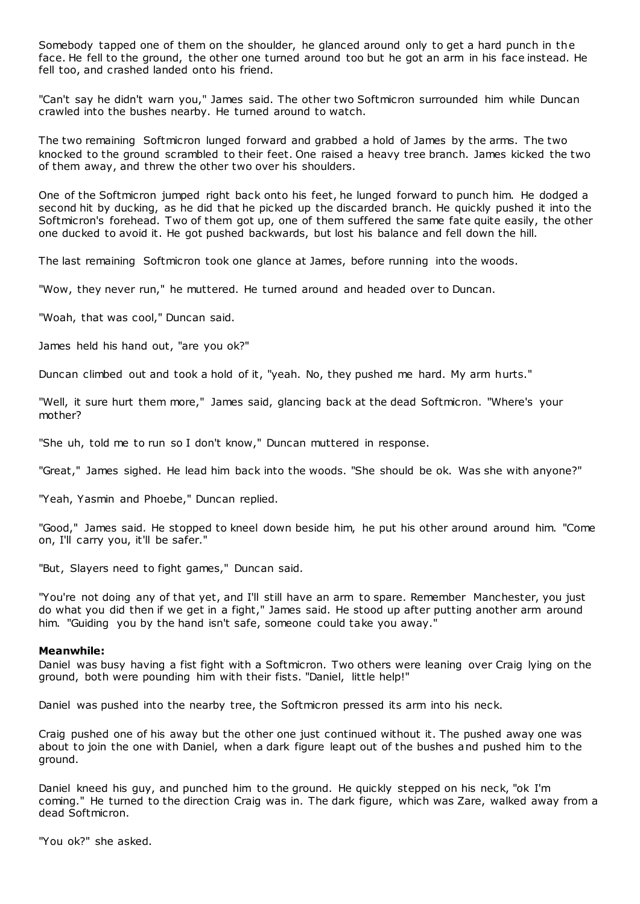Somebody tapped one of them on the shoulder, he glanced around only to get a hard punch in the face. He fell to the ground, the other one turned around too but he got an arm in his face instead. He fell too, and crashed landed onto his friend.

"Can't say he didn't warn you," James said. The other two Softmicron surrounded him while Duncan crawled into the bushes nearby. He turned around to watch.

The two remaining Softmicron lunged forward and grabbed a hold of James by the arms. The two knocked to the ground scrambled to their feet. One raised a heavy tree branch. James kicked the two of them away, and threw the other two over his shoulders.

One of the Softmicron jumped right back onto his feet, he lunged forward to punch him. He dodged a second hit by ducking, as he did that he picked up the discarded branch. He quickly pushed it into the Softmicron's forehead. Two of them got up, one of them suffered the same fate quite easily, the other one ducked to avoid it. He got pushed backwards, but lost his balance and fell down the hill.

The last remaining Softmicron took one glance at James, before running into the woods.

"Wow, they never run," he muttered. He turned around and headed over to Duncan.

"Woah, that was cool," Duncan said.

James held his hand out, "are you ok?"

Duncan climbed out and took a hold of it, "yeah. No, they pushed me hard. My arm hurts."

"Well, it sure hurt them more," James said, glancing back at the dead Softmicron. "Where's your mother?

"She uh, told me to run so I don't know," Duncan muttered in response.

"Great," James sighed. He lead him back into the woods. "She should be ok. Was she with anyone?"

"Yeah, Yasmin and Phoebe," Duncan replied.

"Good," James said. He stopped to kneel down beside him, he put his other around around him. "Come on, I'll carry you, it'll be safer."

"But, Slayers need to fight games," Duncan said.

"You're not doing any of that yet, and I'll still have an arm to spare. Remember Manchester, you just do what you did then if we get in a fight," James said. He stood up after putting another arm around him. "Guiding you by the hand isn't safe, someone could take you away."

### **Meanwhile:**

Daniel was busy having a fist fight with a Softmicron. Two others were leaning over Craig lying on the ground, both were pounding him with their fists. "Daniel, little help!"

Daniel was pushed into the nearby tree, the Softmicron pressed its arm into his neck.

Craig pushed one of his away but the other one just continued without it. The pushed away one was about to join the one with Daniel, when a dark figure leapt out of the bushes and pushed him to the ground.

Daniel kneed his guy, and punched him to the ground. He quickly stepped on his neck, "ok I'm coming." He turned to the direction Craig was in. The dark figure, which was Zare, walked away from a dead Softmicron.

"You ok?" she asked.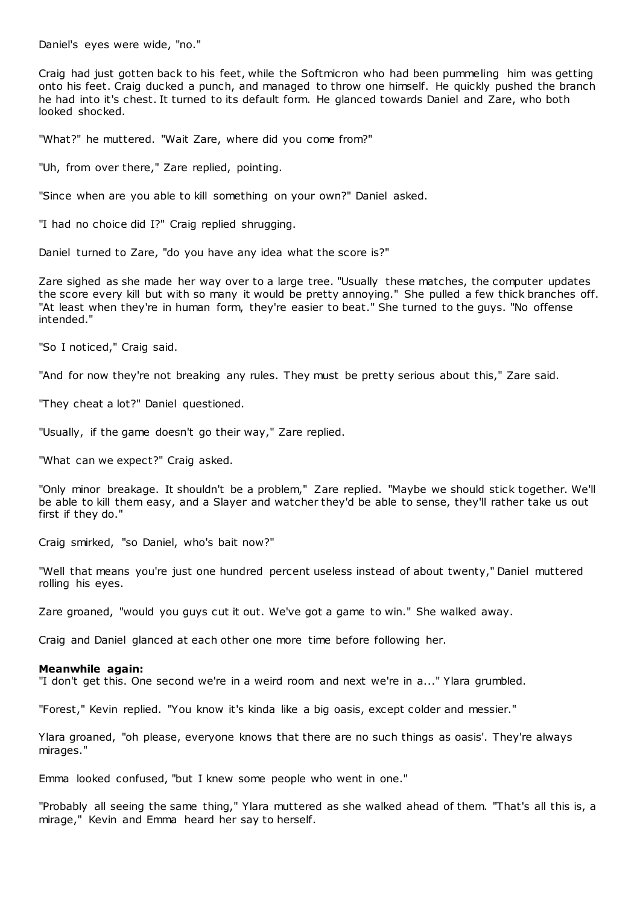Daniel's eyes were wide, "no."

Craig had just gotten back to his feet, while the Softmicron who had been pummeling him was getting onto his feet. Craig ducked a punch, and managed to throw one himself. He quickly pushed the branch he had into it's chest. It turned to its default form. He glanced towards Daniel and Zare, who both looked shocked.

"What?" he muttered. "Wait Zare, where did you come from?"

"Uh, from over there," Zare replied, pointing.

"Since when are you able to kill something on your own?" Daniel asked.

"I had no choice did I?" Craig replied shrugging.

Daniel turned to Zare, "do you have any idea what the score is?"

Zare sighed as she made her way over to a large tree. "Usually these matches, the computer updates the score every kill but with so many it would be pretty annoying." She pulled a few thick branches off. "At least when they're in human form, they're easier to beat." She turned to the guys. "No offense intended."

"So I noticed," Craig said.

"And for now they're not breaking any rules. They must be pretty serious about this," Zare said.

"They cheat a lot?" Daniel questioned.

"Usually, if the game doesn't go their way," Zare replied.

"What can we expect?" Craig asked.

"Only minor breakage. It shouldn't be a problem," Zare replied. "Maybe we should stick together. We'll be able to kill them easy, and a Slayer and watcher they'd be able to sense, they'll rather take us out first if they do."

Craig smirked, "so Daniel, who's bait now?"

"Well that means you're just one hundred percent useless instead of about twenty," Daniel muttered rolling his eyes.

Zare groaned, "would you guys cut it out. We've got a game to win." She walked away.

Craig and Daniel glanced at each other one more time before following her.

#### **Meanwhile again:**

"I don't get this. One second we're in a weird room and next we're in a..." Ylara grumbled.

"Forest," Kevin replied. "You know it's kinda like a big oasis, except colder and messier."

Ylara groaned, "oh please, everyone knows that there are no such things as oasis'. They're always mirages."

Emma looked confused, "but I knew some people who went in one."

"Probably all seeing the same thing," Ylara muttered as she walked ahead of them. "That's all this is, a mirage," Kevin and Emma heard her say to herself.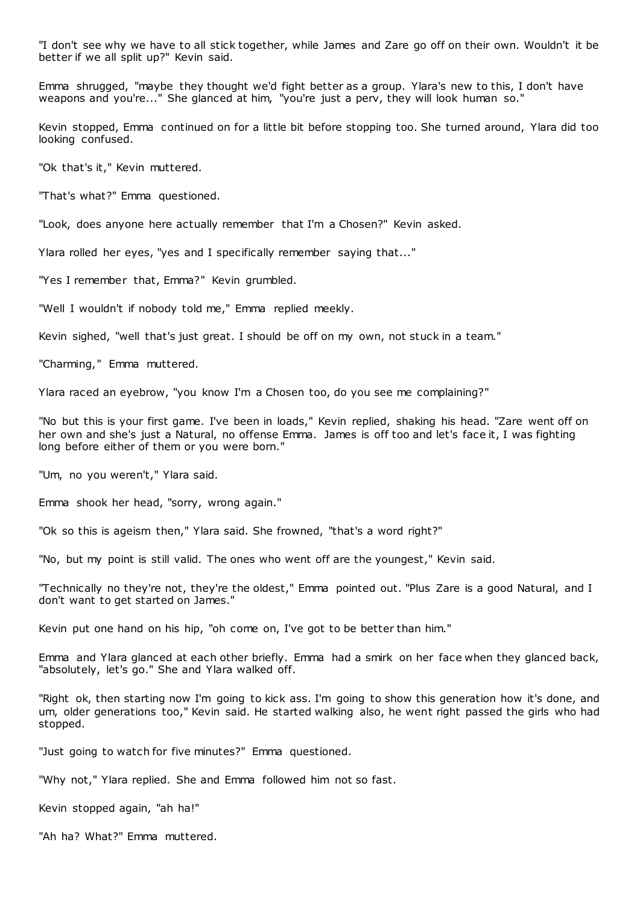"I don't see why we have to all stick together, while James and Zare go off on their own. Wouldn't it be better if we all split up?" Kevin said.

Emma shrugged, "maybe they thought we'd fight better as a group. Ylara's new to this, I don't have weapons and you're..." She glanced at him, "you're just a perv, they will look human so."

Kevin stopped, Emma continued on for a little bit before stopping too. She turned around, Ylara did too looking confused.

"Ok that's it," Kevin muttered.

"That's what?" Emma questioned.

"Look, does anyone here actually remember that I'm a Chosen?" Kevin asked.

Ylara rolled her eyes, "yes and I specifically remember saying that..."

"Yes I remember that, Emma?" Kevin grumbled.

"Well I wouldn't if nobody told me," Emma replied meekly.

Kevin sighed, "well that's just great. I should be off on my own, not stuck in a team."

"Charming," Emma muttered.

Ylara raced an eyebrow, "you know I'm a Chosen too, do you see me complaining?"

"No but this is your first game. I've been in loads," Kevin replied, shaking his head. "Zare went off on her own and she's just a Natural, no offense Emma. James is off too and let's face it, I was fighting long before either of them or you were born."

"Um, no you weren't," Ylara said.

Emma shook her head, "sorry, wrong again."

"Ok so this is ageism then," Ylara said. She frowned, "that's a word right?"

"No, but my point is still valid. The ones who went off are the youngest," Kevin said.

"Technically no they're not, they're the oldest," Emma pointed out. "Plus Zare is a good Natural, and I don't want to get started on James."

Kevin put one hand on his hip, "oh come on, I've got to be better than him."

Emma and Ylara glanced at each other briefly. Emma had a smirk on her face when they glanced back, "absolutely, let's go." She and Ylara walked off.

"Right ok, then starting now I'm going to kick ass. I'm going to show this generation how it's done, and um, older generations too," Kevin said. He started walking also, he went right passed the girls who had stopped.

"Just going to watch for five minutes?" Emma questioned.

"Why not," Ylara replied. She and Emma followed him not so fast.

Kevin stopped again, "ah ha!"

"Ah ha? What?" Emma muttered.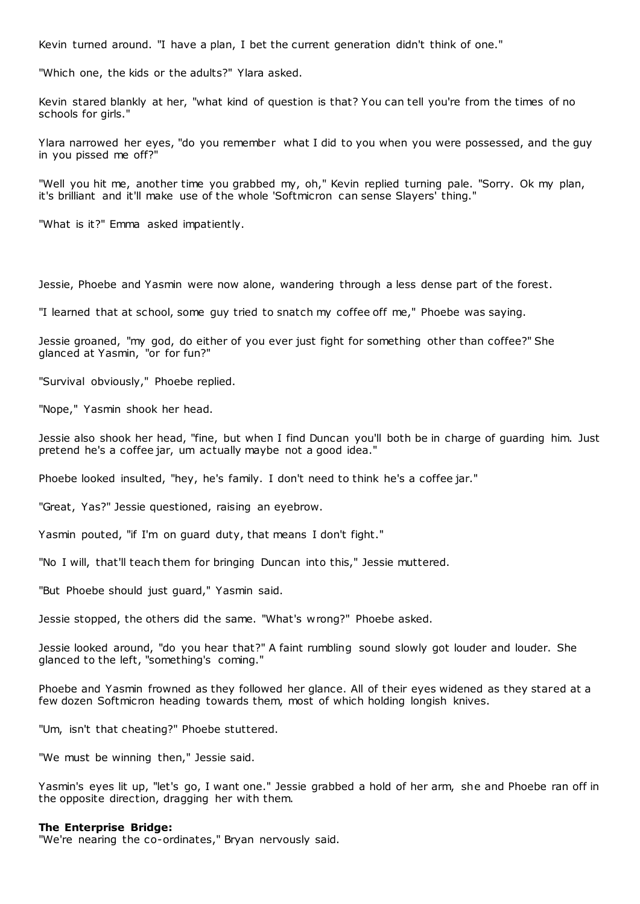Kevin turned around. "I have a plan, I bet the current generation didn't think of one."

"Which one, the kids or the adults?" Ylara asked.

Kevin stared blankly at her, "what kind of question is that? You can tell you're from the times of no schools for girls."

Ylara narrowed her eyes, "do you remember what I did to you when you were possessed, and the guy in you pissed me off?"

"Well you hit me, another time you grabbed my, oh," Kevin replied turning pale. "Sorry. Ok my plan, it's brilliant and it'll make use of the whole 'Softmicron can sense Slayers' thing."

"What is it?" Emma asked impatiently.

Jessie, Phoebe and Yasmin were now alone, wandering through a less dense part of the forest.

"I learned that at school, some guy tried to snatch my coffee off me," Phoebe was saying.

Jessie groaned, "my god, do either of you ever just fight for something other than coffee?" She glanced at Yasmin, "or for fun?"

"Survival obviously," Phoebe replied.

"Nope," Yasmin shook her head.

Jessie also shook her head, "fine, but when I find Duncan you'll both be in charge of guarding him. Just pretend he's a coffee jar, um actually maybe not a good idea."

Phoebe looked insulted, "hey, he's family. I don't need to think he's a coffee jar."

"Great, Yas?" Jessie questioned, raising an eyebrow.

Yasmin pouted, "if I'm on guard duty, that means I don't fight."

"No I will, that'll teach them for bringing Duncan into this," Jessie muttered.

"But Phoebe should just guard," Yasmin said.

Jessie stopped, the others did the same. "What's wrong?" Phoebe asked.

Jessie looked around, "do you hear that?" A faint rumbling sound slowly got louder and louder. She glanced to the left, "something's coming."

Phoebe and Yasmin frowned as they followed her glance. All of their eyes widened as they stared at a few dozen Softmicron heading towards them, most of which holding longish knives.

"Um, isn't that cheating?" Phoebe stuttered.

"We must be winning then," Jessie said.

Yasmin's eyes lit up, "let's go, I want one." Jessie grabbed a hold of her arm, she and Phoebe ran off in the opposite direction, dragging her with them.

#### **The Enterprise Bridge:**

"We're nearing the co-ordinates," Bryan nervously said.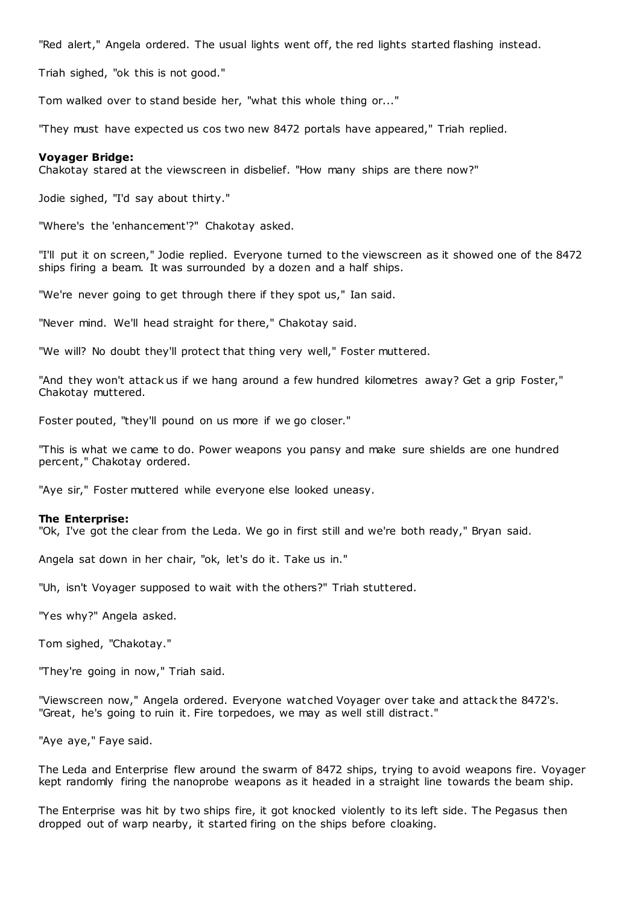"Red alert," Angela ordered. The usual lights went off, the red lights started flashing instead.

Triah sighed, "ok this is not good."

Tom walked over to stand beside her, "what this whole thing or..."

"They must have expected us cos two new 8472 portals have appeared," Triah replied.

### **Voyager Bridge:**

Chakotay stared at the viewscreen in disbelief. "How many ships are there now?"

Jodie sighed, "I'd say about thirty."

"Where's the 'enhancement'?" Chakotay asked.

"I'll put it on screen," Jodie replied. Everyone turned to the viewscreen as it showed one of the 8472 ships firing a beam. It was surrounded by a dozen and a half ships.

"We're never going to get through there if they spot us," Ian said.

"Never mind. We'll head straight for there," Chakotay said.

"We will? No doubt they'll protect that thing very well," Foster muttered.

"And they won't attack us if we hang around a few hundred kilometres away? Get a grip Foster," Chakotay muttered.

Foster pouted, "they'll pound on us more if we go closer."

"This is what we came to do. Power weapons you pansy and make sure shields are one hundred percent," Chakotay ordered.

"Aye sir," Foster muttered while everyone else looked uneasy.

# **The Enterprise:**

"Ok, I've got the clear from the Leda. We go in first still and we're both ready," Bryan said.

Angela sat down in her chair, "ok, let's do it. Take us in."

"Uh, isn't Voyager supposed to wait with the others?" Triah stuttered.

"Yes why?" Angela asked.

Tom sighed, "Chakotay."

"They're going in now," Triah said.

"Viewscreen now," Angela ordered. Everyone wat ched Voyager over take and attack the 8472's. "Great, he's going to ruin it. Fire torpedoes, we may as well still distract."

"Aye aye," Faye said.

The Leda and Enterprise flew around the swarm of 8472 ships, trying to avoid weapons fire. Voyager kept randomly firing the nanoprobe weapons as it headed in a straight line towards the beam ship.

The Enterprise was hit by two ships fire, it got knocked violently to its left side. The Pegasus then dropped out of warp nearby, it started firing on the ships before cloaking.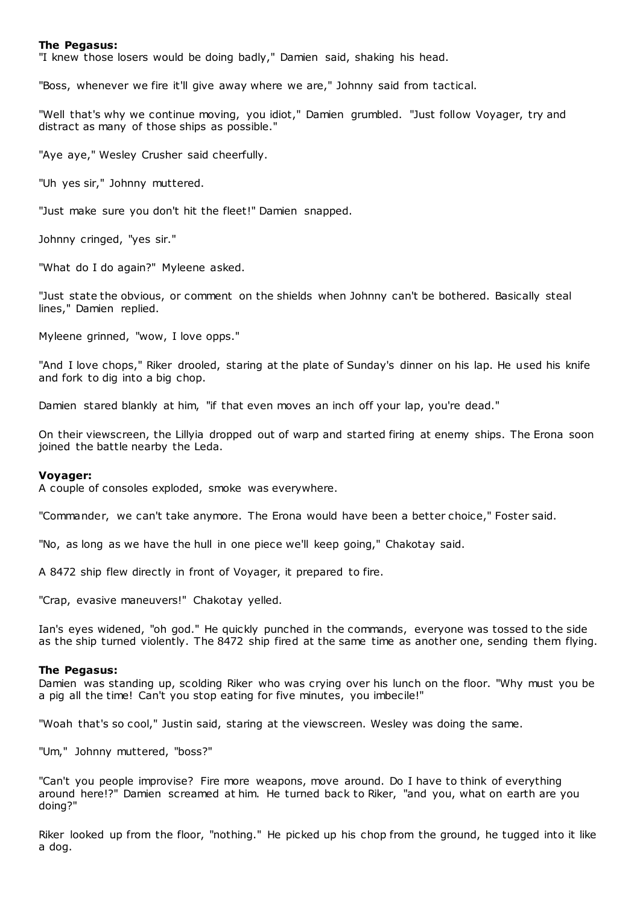#### **The Pegasus:**

"I knew those losers would be doing badly," Damien said, shaking his head.

"Boss, whenever we fire it'll give away where we are," Johnny said from tactical.

"Well that's why we continue moving, you idiot," Damien grumbled. "Just follow Voyager, try and distract as many of those ships as possible."

"Aye aye," Wesley Crusher said cheerfully.

"Uh yes sir," Johnny muttered.

"Just make sure you don't hit the fleet!" Damien snapped.

Johnny cringed, "yes sir."

"What do I do again?" Myleene asked.

"Just state the obvious, or comment on the shields when Johnny can't be bothered. Basically steal lines," Damien replied.

Myleene grinned, "wow, I love opps."

"And I love chops," Riker drooled, staring at the plate of Sunday's dinner on his lap. He used his knife and fork to dig into a big chop.

Damien stared blankly at him, "if that even moves an inch off your lap, you're dead."

On their viewscreen, the Lillyia dropped out of warp and started firing at enemy ships. The Erona soon joined the battle nearby the Leda.

#### **Voyager:**

A couple of consoles exploded, smoke was everywhere.

"Commander, we can't take anymore. The Erona would have been a better choice," Foster said.

"No, as long as we have the hull in one piece we'll keep going," Chakotay said.

A 8472 ship flew directly in front of Voyager, it prepared to fire.

"Crap, evasive maneuvers!" Chakotay yelled.

Ian's eyes widened, "oh god." He quickly punched in the commands, everyone was tossed to the side as the ship turned violently. The 8472 ship fired at the same time as another one, sending them flying.

#### **The Pegasus:**

Damien was standing up, scolding Riker who was crying over his lunch on the floor. "Why must you be a pig all the time! Can't you stop eating for five minutes, you imbecile!"

"Woah that's so cool," Justin said, staring at the viewscreen. Wesley was doing the same.

"Um," Johnny muttered, "boss?"

"Can't you people improvise? Fire more weapons, move around. Do I have to think of everything around here!?" Damien screamed at him. He turned back to Riker, "and you, what on earth are you doing?"

Riker looked up from the floor, "nothing." He picked up his chop from the ground, he tugged into it like a dog.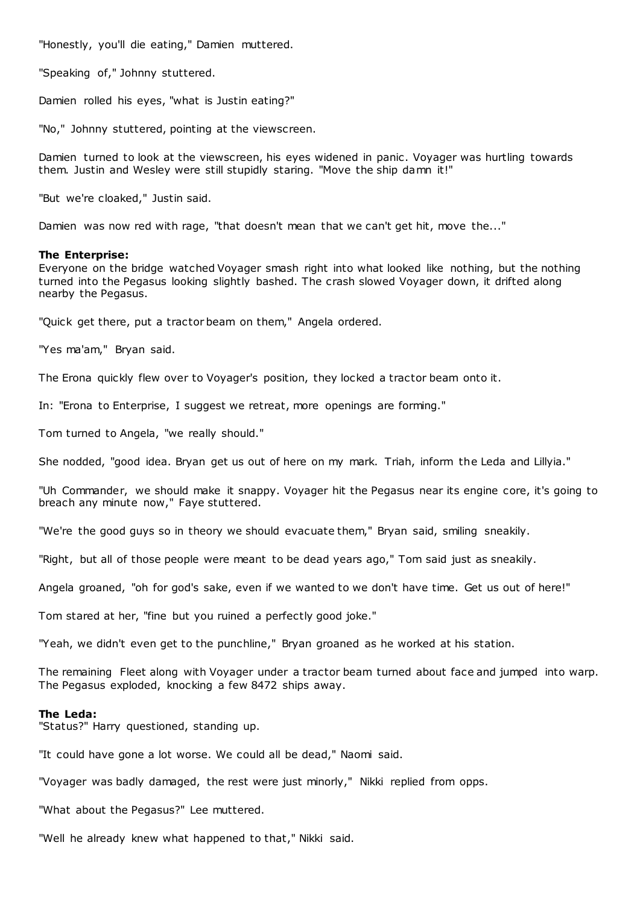"Honestly, you'll die eating," Damien muttered.

"Speaking of," Johnny stuttered.

Damien rolled his eyes, "what is Justin eating?"

"No," Johnny stuttered, pointing at the viewscreen.

Damien turned to look at the viewscreen, his eyes widened in panic . Voyager was hurtling towards them. Justin and Wesley were still stupidly staring. "Move the ship damn it!"

"But we're cloaked," Justin said.

Damien was now red with rage, "that doesn't mean that we can't get hit, move the..."

### **The Enterprise:**

Everyone on the bridge watched Voyager smash right into what looked like nothing, but the nothing turned into the Pegasus looking slightly bashed. The crash slowed Voyager down, it drifted along nearby the Pegasus.

"Quick get there, put a tractor beam on them," Angela ordered.

"Yes ma'am," Bryan said.

The Erona quickly flew over to Voyager's position, they locked a tractor beam onto it.

In: "Erona to Enterprise, I suggest we retreat, more openings are forming."

Tom turned to Angela, "we really should."

She nodded, "good idea. Bryan get us out of here on my mark. Triah, inform the Leda and Lillyia."

"Uh Commander, we should make it snappy. Voyager hit the Pegasus near its engine core, it's going to breach any minute now," Faye stuttered.

"We're the good guys so in theory we should evacuate them," Bryan said, smiling sneakily.

"Right, but all of those people were meant to be dead years ago," Tom said just as sneakily.

Angela groaned, "oh for god's sake, even if we wanted to we don't have time. Get us out of here!"

Tom stared at her, "fine but you ruined a perfectly good joke."

"Yeah, we didn't even get to the punchline," Bryan groaned as he worked at his station.

The remaining Fleet along with Voyager under a tractor beam turned about face and jumped into warp. The Pegasus exploded, knocking a few 8472 ships away.

## **The Leda:**

"Status?" Harry questioned, standing up.

"It could have gone a lot worse. We could all be dead," Naomi said.

"Voyager was badly damaged, the rest were just minorly," Nikki replied from opps.

"What about the Pegasus?" Lee muttered.

"Well he already knew what happened to that," Nikki said.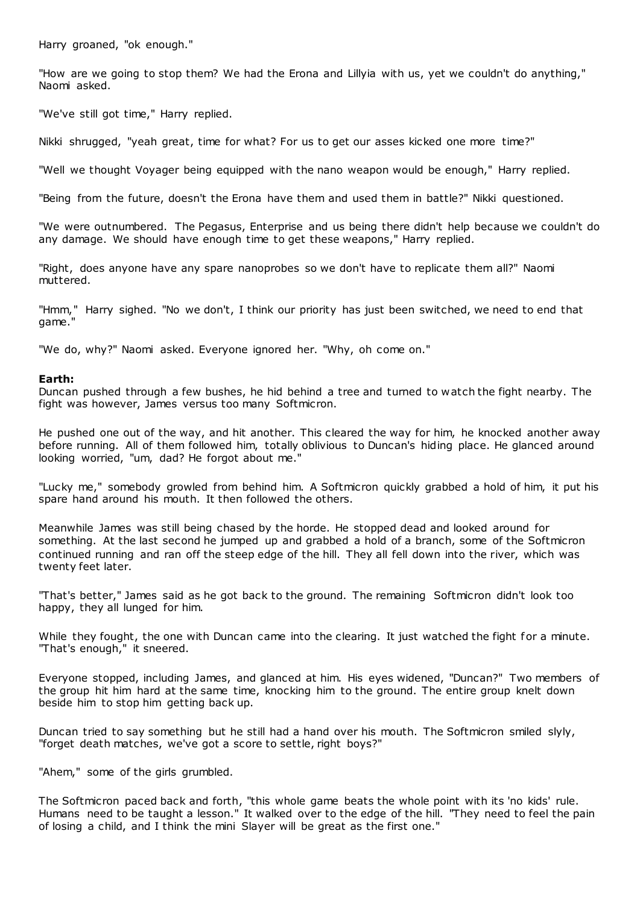Harry groaned, "ok enough."

"How are we going to stop them? We had the Erona and Lillyia with us, yet we couldn't do anything," Naomi asked.

"We've still got time," Harry replied.

Nikki shrugged, "yeah great, time for what? For us to get our asses kicked one more time?"

"Well we thought Voyager being equipped with the nano weapon would be enough," Harry replied.

"Being from the future, doesn't the Erona have them and used them in battle?" Nikki questioned.

"We were outnumbered. The Pegasus, Enterprise and us being there didn't help because we couldn't do any damage. We should have enough time to get these weapons," Harry replied.

"Right, does anyone have any spare nanoprobes so we don't have to replicate them all?" Naomi muttered.

"Hmm," Harry sighed. "No we don't, I think our priority has just been switched, we need to end that game."

"We do, why?" Naomi asked. Everyone ignored her. "Why, oh come on."

# **Earth:**

Duncan pushed through a few bushes, he hid behind a tree and turned to watch the fight nearby. The fight was however, James versus too many Softmicron.

He pushed one out of the way, and hit another. This cleared the way for him, he knocked another away before running. All of them followed him, totally oblivious to Duncan's hiding place. He glanced around looking worried, "um, dad? He forgot about me."

"Lucky me," somebody growled from behind him. A Softmicron quickly grabbed a hold of him, it put his spare hand around his mouth. It then followed the others.

Meanwhile James was still being chased by the horde. He stopped dead and looked around for something. At the last second he jumped up and grabbed a hold of a branch, some of the Softmicron continued running and ran off the steep edge of the hill. They all fell down into the river, which was twenty feet later.

"That's better," James said as he got back to the ground. The remaining Softmicron didn't look too happy, they all lunged for him.

While they fought, the one with Duncan came into the clearing. It just watched the fight for a minute. "That's enough," it sneered.

Everyone stopped, including James, and glanced at him. His eyes widened, "Duncan?" Two members of the group hit him hard at the same time, knocking him to the ground. The entire group knelt down beside him to stop him getting back up.

Duncan tried to say something but he still had a hand over his mouth. The Softmicron smiled slyly, "forget death matches, we've got a score to settle, right boys?"

"Ahem," some of the girls grumbled.

The Softmicron paced back and forth, "this whole game beats the whole point with its 'no kids' rule. Humans need to be taught a lesson." It walked over to the edge of the hill. "They need to feel the pain of losing a child, and I think the mini Slayer will be great as the first one."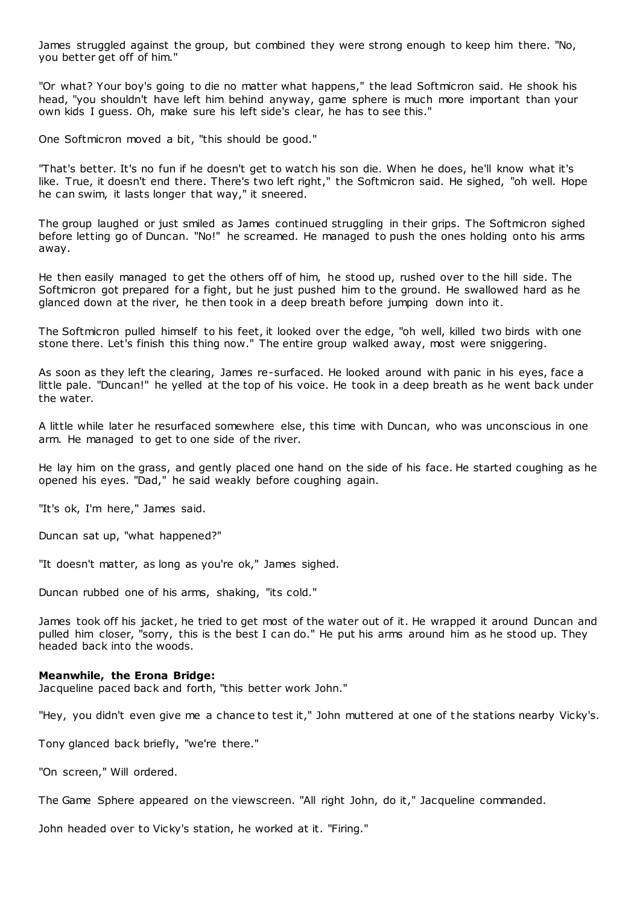James struggled against the group, but combined they were strong enough to keep him there. "No, you better get off of him."

"Or what? Your boy's going to die no matter what happens," the lead Softmicron said. He shook his head, "you shouldn't have left him behind anyway, game sphere is much more important than your own kids I guess. Oh, make sure his left side's clear, he has to see this."

One Softmicron moved a bit, "this should be good."

"That's better. It's no fun if he doesn't get to watch his son die. When he does, he'll know what it's like. True, it doesn't end there. There's two left right," the Softmicron said. He sighed, "oh well. Hope he can swim, it lasts longer that way," it sneered.

The group laughed or just smiled as James continued struggling in their grips. The Softmicron sighed before letting go of Duncan. "No!" he screamed. He managed to push the ones holding onto his arms away.

He then easily managed to get the others off of him, he stood up, rushed over to the hill side. The Softmicron got prepared for a fight, but he just pushed him to the ground. He swallowed hard as he glanced down at the river, he then took in a deep breath before jumping down into it.

The Softmicron pulled himself to his feet, it looked over the edge, "oh well, killed two birds with one stone there. Let's finish this thing now." The entire group walked away, most were sniggering.

As soon as they left the clearing, James re-surfaced. He looked around with panic in his eyes, face a little pale. "Duncan!" he yelled at the top of his voice. He took in a deep breath as he went back under the water.

A little while later he resurfaced somewhere else, this time with Duncan, who was unconscious in one arm. He managed to get to one side of the river.

He lay him on the grass, and gently placed one hand on the side of his face. He started coughing as he opened his eyes. "Dad," he said weakly before coughing again.

"It's ok, I'm here," James said.

Duncan sat up, "what happened?"

"It doesn't matter, as long as you're ok," James sighed.

Duncan rubbed one of his arms, shaking, "its cold."

James took off his jacket, he tried to get most of the water out of it. He wrapped it around Duncan and pulled him closer, "sorry, this is the best I can do." He put his arms around him as he stood up. They headed back into the woods.

#### **Meanwhile, the Erona Bridge:**

Jacqueline paced back and forth, "this better work John."

"Hey, you didn't even give me a chance to test it," John muttered at one of t he stations nearby Vicky's.

Tony glanced back briefly, "we're there."

"On screen," Will ordered.

The Game Sphere appeared on the viewscreen. "All right John, do it," Jacqueline commanded.

John headed over to Vicky's station, he worked at it. "Firing."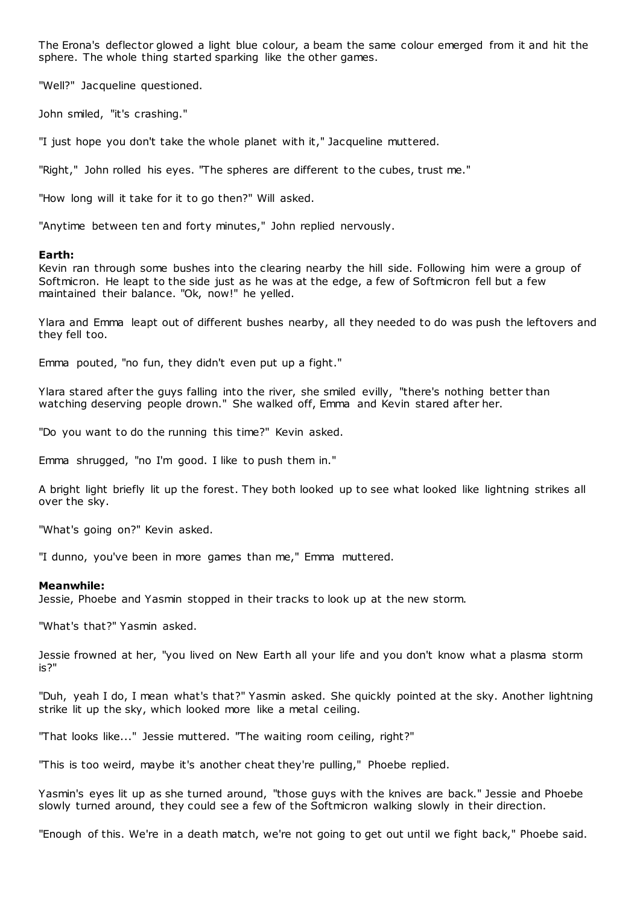The Erona's deflector glowed a light blue colour, a beam the same colour emerged from it and hit the sphere. The whole thing started sparking like the other games.

"Well?" Jacqueline questioned.

John smiled, "it's crashing."

"I just hope you don't take the whole planet with it," Jacqueline muttered.

"Right," John rolled his eyes. "The spheres are different to the cubes, trust me."

"How long will it take for it to go then?" Will asked.

"Anytime between ten and forty minutes," John replied nervously.

### **Earth:**

Kevin ran through some bushes into the clearing nearby the hill side. Following him were a group of Softmicron. He leapt to the side just as he was at the edge, a few of Softmicron fell but a few maintained their balance. "Ok, now!" he yelled.

Ylara and Emma leapt out of different bushes nearby, all they needed to do was push the leftovers and they fell too.

Emma pouted, "no fun, they didn't even put up a fight."

Ylara stared after the guys falling into the river, she smiled evilly, "there's nothing better than watching deserving people drown." She walked off, Emma and Kevin stared after her.

"Do you want to do the running this time?" Kevin asked.

Emma shrugged, "no I'm good. I like to push them in."

A bright light briefly lit up the forest. They both looked up to see what looked like lightning strikes all over the sky.

"What's going on?" Kevin asked.

"I dunno, you've been in more games than me," Emma muttered.

#### **Meanwhile:**

Jessie, Phoebe and Yasmin stopped in their tracks to look up at the new storm.

"What's that?" Yasmin asked.

Jessie frowned at her, "you lived on New Earth all your life and you don't know what a plasma storm is?"

"Duh, yeah I do, I mean what's that?" Yasmin asked. She quickly pointed at the sky. Another lightning strike lit up the sky, which looked more like a metal ceiling.

"That looks like..." Jessie muttered. "The waiting room ceiling, right?"

"This is too weird, maybe it's another cheat they're pulling," Phoebe replied.

Yasmin's eyes lit up as she turned around, "those guys with the knives are back." Jessie and Phoebe slowly turned around, they could see a few of the Softmicron walking slowly in their direction.

"Enough of this. We're in a death match, we're not going to get out until we fight back," Phoebe said.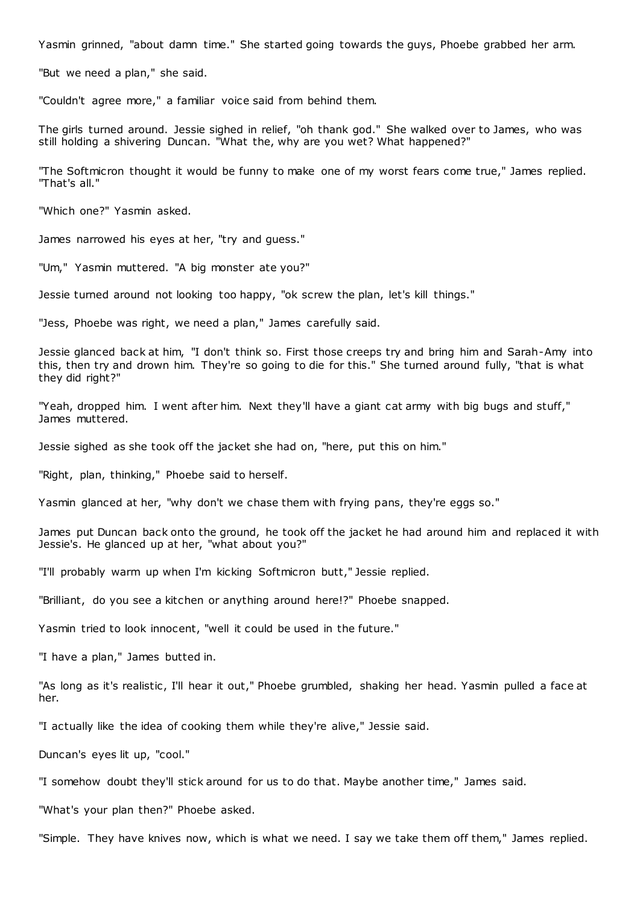Yasmin grinned, "about damn time." She started going towards the guys, Phoebe grabbed her arm.

"But we need a plan," she said.

"Couldn't agree more," a familiar voice said from behind them.

The girls turned around. Jessie sighed in relief, "oh thank god." She walked over to James, who was still holding a shivering Duncan. "What the, why are you wet? What happened?"

"The Softmicron thought it would be funny to make one of my worst fears come true," James replied. "That's all."

"Which one?" Yasmin asked.

James narrowed his eyes at her, "try and guess."

"Um," Yasmin muttered. "A big monster ate you?"

Jessie turned around not looking too happy, "ok screw the plan, let's kill things."

"Jess, Phoebe was right, we need a plan," James carefully said.

Jessie glanced back at him, "I don't think so. First those creeps try and bring him and Sarah-Amy into this, then try and drown him. They're so going to die for this." She turned around fully, "that is what they did right?"

"Yeah, dropped him. I went after him. Next they'll have a giant cat army with big bugs and stuff," James muttered.

Jessie sighed as she took off the jacket she had on, "here, put this on him."

"Right, plan, thinking," Phoebe said to herself.

Yasmin glanced at her, "why don't we chase them with frying pans, they're eggs so."

James put Duncan back onto the ground, he took off the jacket he had around him and replaced it with Jessie's. He glanced up at her, "what about you?"

"I'll probably warm up when I'm kicking Softmicron butt," Jessie replied.

"Brilliant, do you see a kitchen or anything around here!?" Phoebe snapped.

Yasmin tried to look innocent, "well it could be used in the future."

"I have a plan," James butted in.

"As long as it's realistic, I'll hear it out," Phoebe grumbled, shaking her head. Yasmin pulled a face at her.

"I actually like the idea of cooking them while they're alive," Jessie said.

Duncan's eyes lit up, "cool."

"I somehow doubt they'll stick around for us to do that. Maybe another time," James said.

"What's your plan then?" Phoebe asked.

"Simple. They have knives now, which is what we need. I say we take them off them," James replied.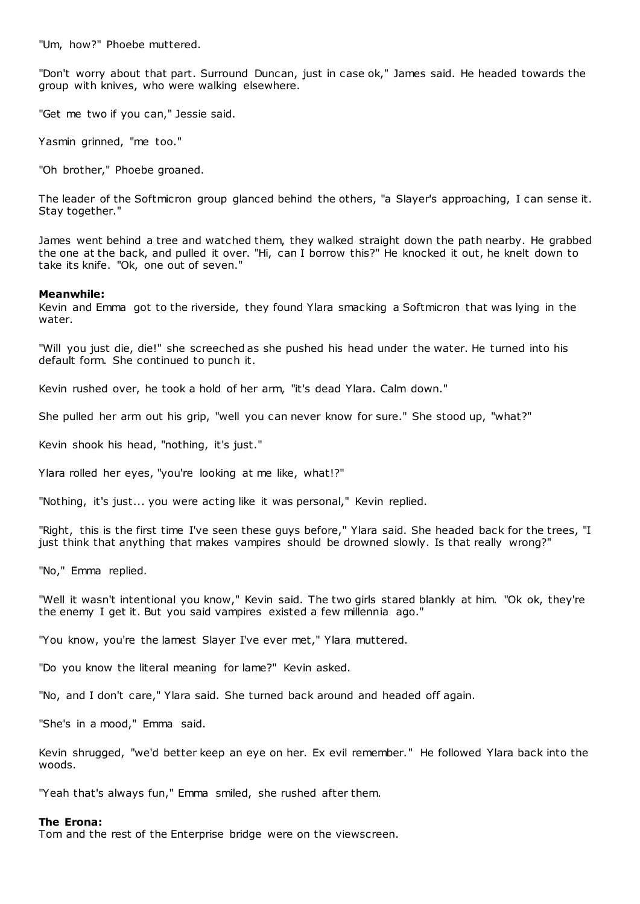"Um, how?" Phoebe muttered.

"Don't worry about that part. Surround Duncan, just in case ok," James said. He headed towards the group with knives, who were walking elsewhere.

"Get me two if you can," Jessie said.

Yasmin grinned, "me too."

"Oh brother," Phoebe groaned.

The leader of the Softmicron group glanced behind the others, "a Slayer's approaching, I can sense it. Stay together."

James went behind a tree and watched them, they walked straight down the path nearby. He grabbed the one at the back, and pulled it over. "Hi, can I borrow this?" He knocked it out, he knelt down to take its knife. "Ok, one out of seven."

### **Meanwhile:**

Kevin and Emma got to the riverside, they found Ylara smacking a Softmicron that was lying in the water.

"Will you just die, die!" she screeched as she pushed his head under the water. He turned into his default form. She continued to punch it.

Kevin rushed over, he took a hold of her arm, "it's dead Ylara. Calm down."

She pulled her arm out his grip, "well you can never know for sure." She stood up, "what?"

Kevin shook his head, "nothing, it's just."

Ylara rolled her eyes, "you're looking at me like, what!?"

"Nothing, it's just... you were acting like it was personal," Kevin replied.

"Right, this is the first time I've seen these guys before," Ylara said. She headed back for the trees, "I just think that anything that makes vampires should be drowned slowly. Is that really wrong?"

"No," Emma replied.

"Well it wasn't intentional you know," Kevin said. The two girls stared blankly at him. "Ok ok, they're the enemy I get it. But you said vampires existed a few millennia ago."

"You know, you're the lamest Slayer I've ever met," Ylara muttered.

"Do you know the literal meaning for lame?" Kevin asked.

"No, and I don't care," Ylara said. She turned back around and headed off again.

"She's in a mood," Emma said.

Kevin shrugged, "we'd better keep an eye on her. Ex evil remember." He followed Ylara back into the woods.

"Yeah that's always fun," Emma smiled, she rushed after them.

#### **The Erona:**

Tom and the rest of the Enterprise bridge were on the viewscreen.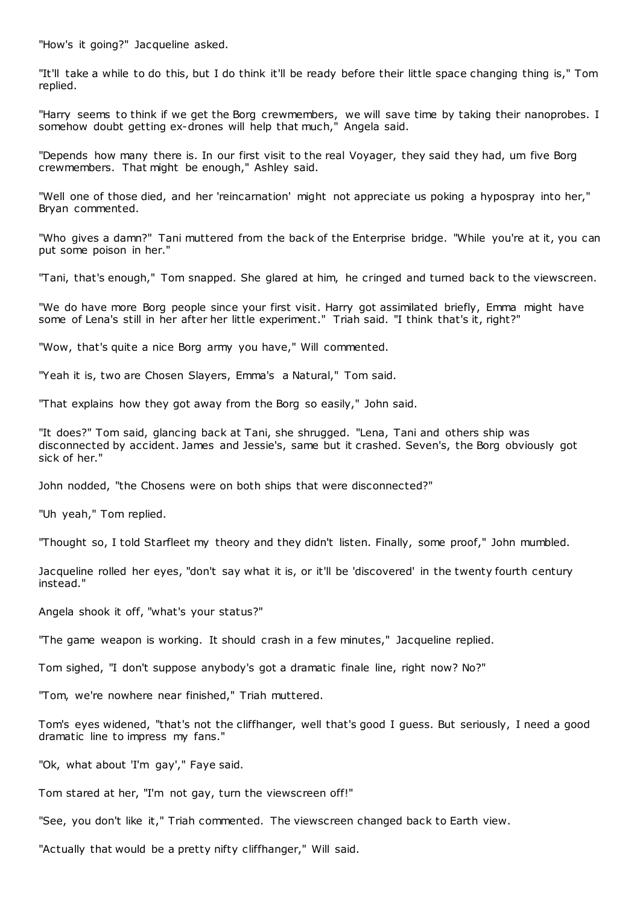"How's it going?" Jacqueline asked.

"It'll take a while to do this, but I do think it'll be ready before their little space changing thing is," Tom replied.

"Harry seems to think if we get the Borg crewmembers, we will save time by taking their nanoprobes. I somehow doubt getting ex-drones will help that much," Angela said.

"Depends how many there is. In our first visit to the real Voyager, they said they had, um five Borg crewmembers. That might be enough," Ashley said.

"Well one of those died, and her 'reincarnation' might not appreciate us poking a hypospray into her," Bryan commented.

"Who gives a damn?" Tani muttered from the back of the Enterprise bridge. "While you're at it, you can put some poison in her."

"Tani, that's enough," Tom snapped. She glared at him, he cringed and turned back to the viewscreen.

"We do have more Borg people since your first visit. Harry got assimilated briefly, Emma might have some of Lena's still in her after her little experiment." Triah said. "I think that's it, right?"

"Wow, that's quite a nice Borg army you have," Will commented.

"Yeah it is, two are Chosen Slayers, Emma's a Natural," Tom said.

"That explains how they got away from the Borg so easily," John said.

"It does?" Tom said, glancing back at Tani, she shrugged. "Lena, Tani and others ship was disconnected by accident. James and Jessie's, same but it crashed. Seven's, the Borg obviously got sick of her."

John nodded, "the Chosens were on both ships that were disconnected?"

"Uh yeah," Tom replied.

"Thought so, I told Starfleet my theory and they didn't listen. Finally, some proof," John mumbled.

Jacqueline rolled her eyes, "don't say what it is, or it'll be 'discovered' in the twenty fourth century instead."

Angela shook it off, "what's your status?"

"The game weapon is working. It should crash in a few minutes," Jacqueline replied.

Tom sighed, "I don't suppose anybody's got a dramatic finale line, right now? No?"

"Tom, we're nowhere near finished," Triah muttered.

Tom's eyes widened, "that's not the cliffhanger, well that's good I guess. But seriously, I need a good dramatic line to impress my fans."

"Ok, what about 'I'm gay'," Faye said.

Tom stared at her, "I'm not gay, turn the viewscreen off!"

"See, you don't like it," Triah commented. The viewscreen changed back to Earth view.

"Actually that would be a pretty nifty cliffhanger," Will said.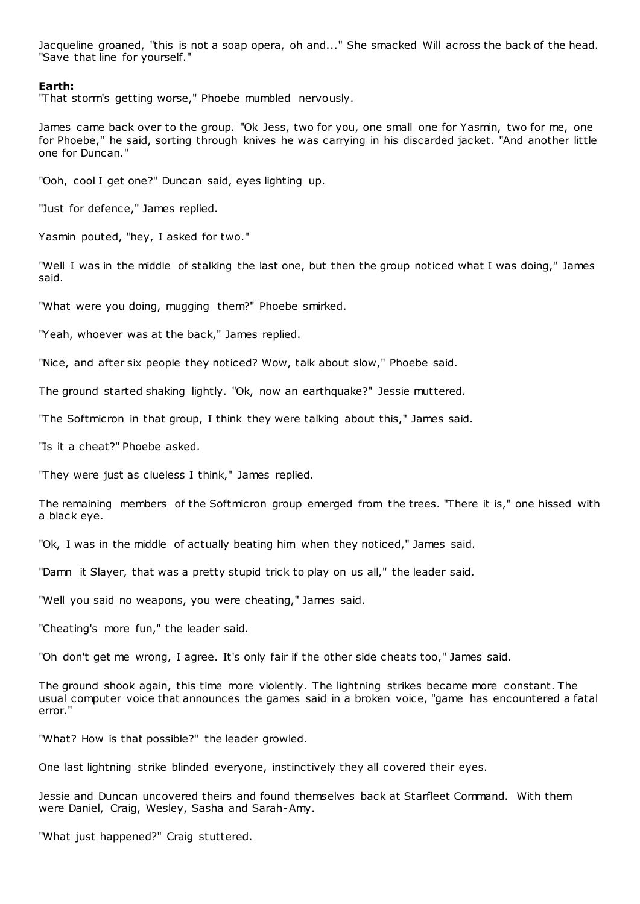Jacqueline groaned, "this is not a soap opera, oh and..." She smacked Will across the back of the head. "Save that line for yourself."

# **Earth:**

"That storm's getting worse," Phoebe mumbled nervously.

James came back over to the group. "Ok Jess, two for you, one small one for Yasmin, two for me, one for Phoebe," he said, sorting through knives he was carrying in his discarded jacket. "And another little one for Duncan."

"Ooh, cool I get one?" Duncan said, eyes lighting up.

"Just for defence," James replied.

Yasmin pouted, "hey, I asked for two."

"Well I was in the middle of stalking the last one, but then the group noticed what I was doing," James said.

"What were you doing, mugging them?" Phoebe smirked.

"Yeah, whoever was at the back," James replied.

"Nice, and after six people they noticed? Wow, talk about slow," Phoebe said.

The ground started shaking lightly. "Ok, now an earthquake?" Jessie muttered.

"The Softmicron in that group, I think they were talking about this," James said.

"Is it a cheat?" Phoebe asked.

"They were just as clueless I think," James replied.

The remaining members of the Softmicron group emerged from the trees. "There it is," one hissed with a black eye.

"Ok, I was in the middle of actually beating him when they noticed," James said.

"Damn it Slayer, that was a pretty stupid trick to play on us all," the leader said.

"Well you said no weapons, you were cheating," James said.

"Cheating's more fun," the leader said.

"Oh don't get me wrong, I agree. It's only fair if the other side cheats too," James said.

The ground shook again, this time more violently. The lightning strikes became more constant. The usual computer voice that announces the games said in a broken voice, "game has encountered a fatal error."

"What? How is that possible?" the leader growled.

One last lightning strike blinded everyone, instinctively they all covered their eyes.

Jessie and Duncan uncovered theirs and found themselves back at Starfleet Command. With them were Daniel, Craig, Wesley, Sasha and Sarah-Amy.

"What just happened?" Craig stuttered.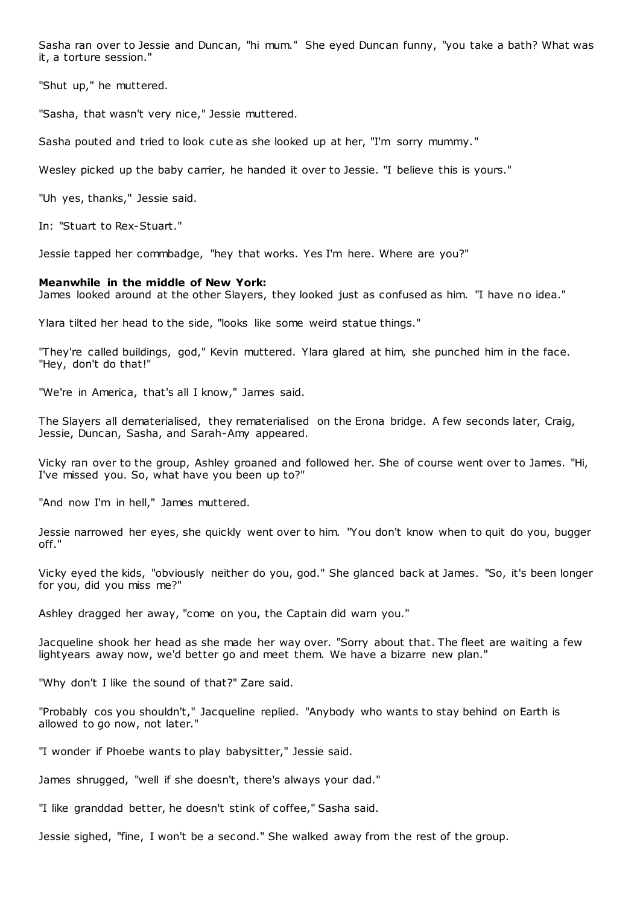Sasha ran over to Jessie and Duncan, "hi mum." She eyed Duncan funny, "you take a bath? What was it, a torture session."

"Shut up," he muttered.

"Sasha, that wasn't very nice," Jessie muttered.

Sasha pouted and tried to look cute as she looked up at her, "I'm sorry mummy."

Wesley picked up the baby carrier, he handed it over to Jessie. "I believe this is yours."

"Uh yes, thanks," Jessie said.

In: "Stuart to Rex-Stuart."

Jessie tapped her commbadge, "hey that works. Yes I'm here. Where are you?"

#### **Meanwhile in the middle of New York:**

James looked around at the other Slayers, they looked just as confused as him. "I have no idea."

Ylara tilted her head to the side, "looks like some weird statue things."

"They're called buildings, god," Kevin muttered. Ylara glared at him, she punched him in the face. "Hey, don't do that!"

"We're in America, that's all I know," James said.

The Slayers all dematerialised, they rematerialised on the Erona bridge. A few seconds later, Craig, Jessie, Duncan, Sasha, and Sarah-Amy appeared.

Vicky ran over to the group, Ashley groaned and followed her. She of course went over to James. "Hi, I've missed you. So, what have you been up to?"

"And now I'm in hell," James muttered.

Jessie narrowed her eyes, she quickly went over to him. "You don't know when to quit do you, bugger off."

Vicky eyed the kids, "obviously neither do you, god." She glanced back at James. "So, it's been longer for you, did you miss me?"

Ashley dragged her away, "come on you, the Captain did warn you."

Jacqueline shook her head as she made her way over. "Sorry about that. The fleet are waiting a few lightyears away now, we'd better go and meet them. We have a bizarre new plan."

"Why don't I like the sound of that?" Zare said.

"Probably cos you shouldn't," Jacqueline replied. "Anybody who wants to stay behind on Earth is allowed to go now, not later."

"I wonder if Phoebe wants to play babysitter," Jessie said.

James shrugged, "well if she doesn't, there's always your dad."

"I like granddad better, he doesn't stink of coffee," Sasha said.

Jessie sighed, "fine, I won't be a second." She walked away from the rest of the group.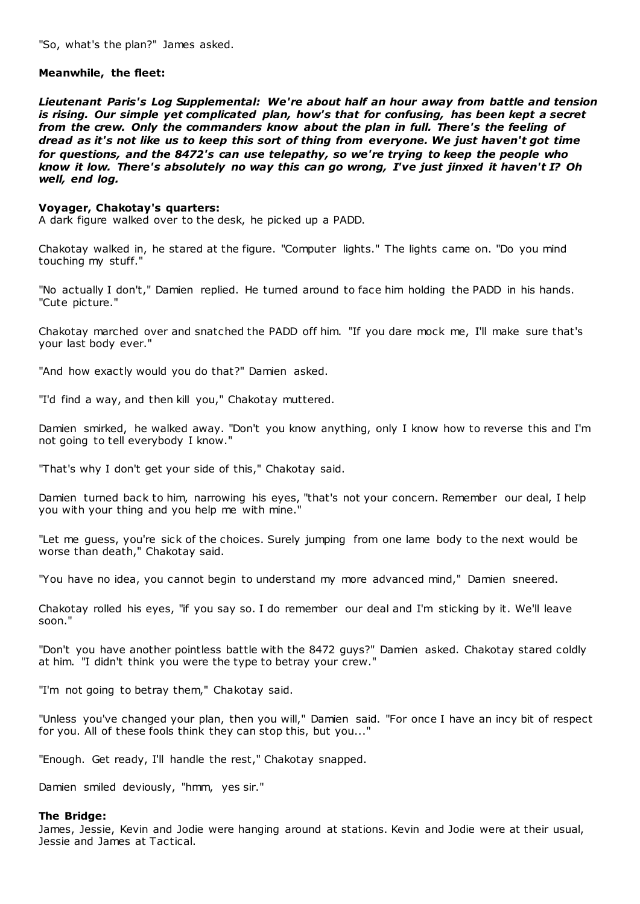"So, what's the plan?" James asked.

# **Meanwhile, the fleet:**

*Lieutenant Paris's Log Supplemental: We're about half an hour away from battle and tension is rising. Our simple yet complicated plan, how's that for confusing, has been kept a secret from the crew. Only the commanders know about the plan in full. There's the feeling of dread as it's not like us to keep this sort of thing from everyone. We just haven't got time for questions, and the 8472's can use telepathy, so we're trying to keep the people who know it low. There's absolutely no way this can go wrong, I've just jinxed it haven't I? Oh well, end log.*

#### **Voyager, Chakotay's quarters:**

A dark figure walked over to the desk, he picked up a PADD.

Chakotay walked in, he stared at the figure. "Computer lights." The lights came on. "Do you mind touching my stuff."

"No actually I don't," Damien replied. He turned around to face him holding the PADD in his hands. "Cute picture."

Chakotay marched over and snatched the PADD off him. "If you dare mock me, I'll make sure that's your last body ever."

"And how exactly would you do that?" Damien asked.

"I'd find a way, and then kill you," Chakotay muttered.

Damien smirked, he walked away. "Don't you know anything, only I know how to reverse this and I'm not going to tell everybody I know."

"That's why I don't get your side of this," Chakotay said.

Damien turned back to him, narrowing his eyes, "that's not your concern. Remember our deal, I help you with your thing and you help me with mine.'

"Let me guess, you're sick of the choices. Surely jumping from one lame body to the next would be worse than death," Chakotay said.

"You have no idea, you cannot begin to understand my more advanced mind," Damien sneered.

Chakotay rolled his eyes, "if you say so. I do remember our deal and I'm sticking by it. We'll leave soon."

"Don't you have another pointless battle with the 8472 guys?" Damien asked. Chakotay stared coldly at him. "I didn't think you were the type to betray your crew."

"I'm not going to betray them," Chakotay said.

"Unless you've changed your plan, then you will," Damien said. "For once I have an incy bit of respect for you. All of these fools think they can stop this, but you..."

"Enough. Get ready, I'll handle the rest," Chakotay snapped.

Damien smiled deviously, "hmm, yes sir."

#### **The Bridge:**

James, Jessie, Kevin and Jodie were hanging around at stations. Kevin and Jodie were at their usual, Jessie and James at Tactical.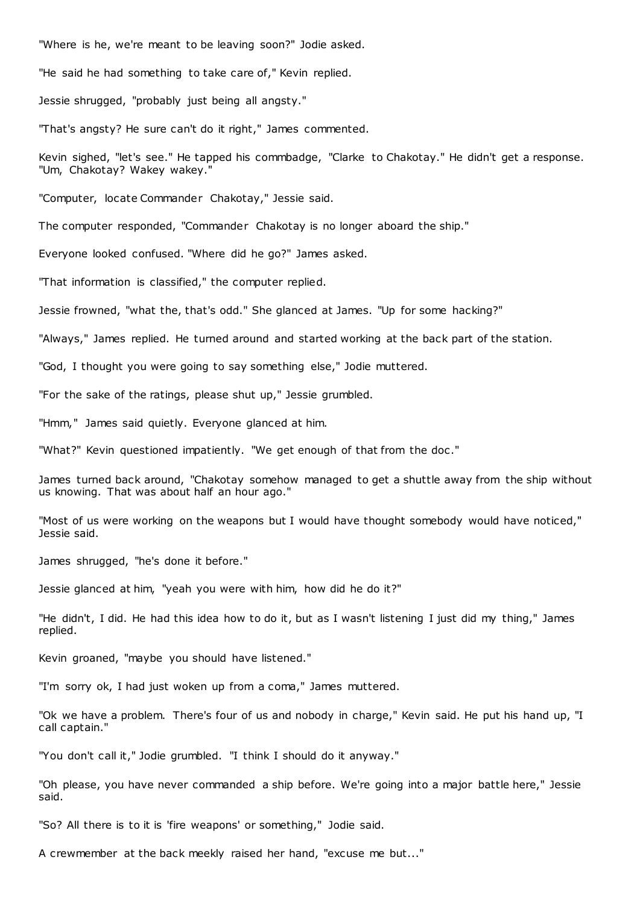"Where is he, we're meant to be leaving soon?" Jodie asked.

"He said he had something to take care of," Kevin replied.

Jessie shrugged, "probably just being all angsty."

"That's angsty? He sure can't do it right," James commented.

Kevin sighed, "let's see." He tapped his commbadge, "Clarke to Chakotay." He didn't get a response. "Um, Chakotay? Wakey wakey."

"Computer, locate Commander Chakotay," Jessie said.

The computer responded, "Commander Chakotay is no longer aboard the ship."

Everyone looked confused. "Where did he go?" James asked.

"That information is classified," the computer replied.

Jessie frowned, "what the, that's odd." She glanced at James. "Up for some hacking?"

"Always," James replied. He turned around and started working at the back part of the station.

"God, I thought you were going to say something else," Jodie muttered.

"For the sake of the ratings, please shut up," Jessie grumbled.

"Hmm," James said quietly. Everyone glanced at him.

"What?" Kevin questioned impatiently. "We get enough of that from the doc ."

James turned back around, "Chakotay somehow managed to get a shuttle away from the ship without us knowing. That was about half an hour ago."

"Most of us were working on the weapons but I would have thought somebody would have noticed," Jessie said.

James shrugged, "he's done it before."

Jessie glanced at him, "yeah you were with him, how did he do it?"

"He didn't, I did. He had this idea how to do it, but as I wasn't listening I just did my thing," James replied.

Kevin groaned, "maybe you should have listened."

"I'm sorry ok, I had just woken up from a coma," James muttered.

"Ok we have a problem. There's four of us and nobody in charge," Kevin said. He put his hand up, "I call captain."

"You don't call it," Jodie grumbled. "I think I should do it anyway."

"Oh please, you have never commanded a ship before. We're going into a major battle here," Jessie said.

"So? All there is to it is 'fire weapons' or something," Jodie said.

A crewmember at the back meekly raised her hand, "excuse me but..."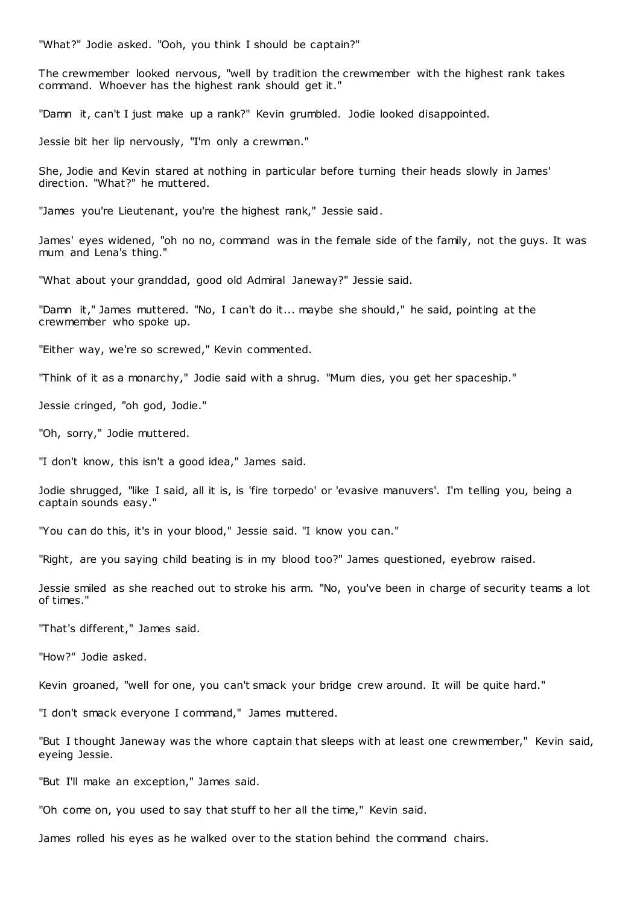"What?" Jodie asked. "Ooh, you think I should be captain?"

The crewmember looked nervous, "well by tradition the crewmember with the highest rank takes command. Whoever has the highest rank should get it."

"Damn it, can't I just make up a rank?" Kevin grumbled. Jodie looked disappointed.

Jessie bit her lip nervously, "I'm only a crewman."

She, Jodie and Kevin stared at nothing in particular before turning their heads slowly in James' direction. "What?" he muttered.

"James you're Lieutenant, you're the highest rank," Jessie said.

James' eyes widened, "oh no no, command was in the female side of the family, not the guys. It was mum and Lena's thing."

"What about your granddad, good old Admiral Janeway?" Jessie said.

"Damn it," James muttered. "No, I can't do it... maybe she should," he said, pointing at the crewmember who spoke up.

"Either way, we're so screwed," Kevin commented.

"Think of it as a monarchy," Jodie said with a shrug. "Mum dies, you get her spaceship."

Jessie cringed, "oh god, Jodie."

"Oh, sorry," Jodie muttered.

"I don't know, this isn't a good idea," James said.

Jodie shrugged, "like I said, all it is, is 'fire torpedo' or 'evasive manuvers'. I'm telling you, being a captain sounds easy."

"You can do this, it's in your blood," Jessie said. "I know you can."

"Right, are you saying child beating is in my blood too?" James questioned, eyebrow raised.

Jessie smiled as she reached out to stroke his arm. "No, you've been in charge of security teams a lot of times."

"That's different," James said.

"How?" Jodie asked.

Kevin groaned, "well for one, you can't smack your bridge crew around. It will be quite hard."

"I don't smack everyone I command," James muttered.

"But I thought Janeway was the whore captain that sleeps with at least one crewmember," Kevin said, eyeing Jessie.

"But I'll make an exception," James said.

"Oh come on, you used to say that stuff to her all the time," Kevin said.

James rolled his eyes as he walked over to the station behind the command chairs.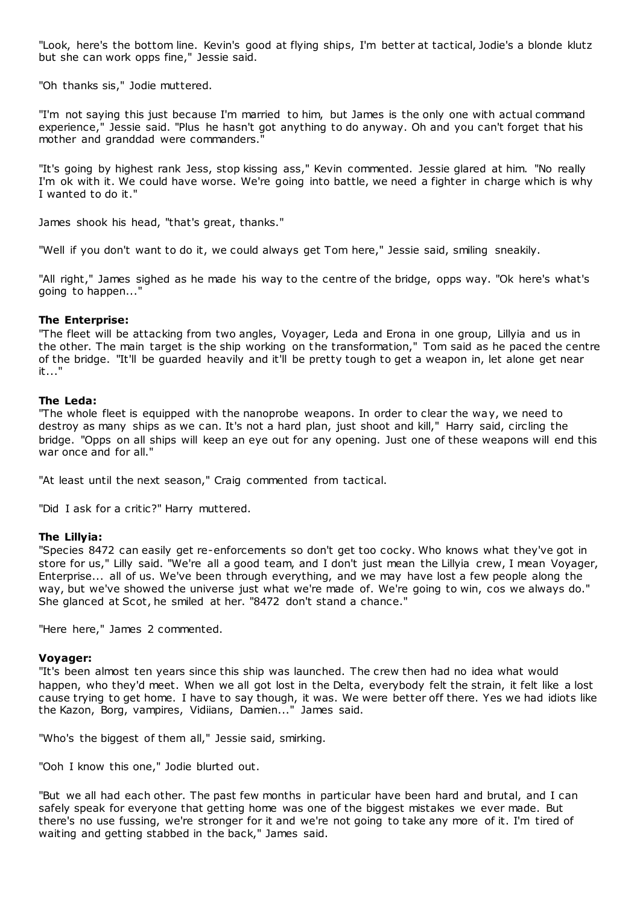"Look, here's the bottom line. Kevin's good at flying ships, I'm better at tactical, Jodie's a blonde klutz but she can work opps fine," Jessie said.

"Oh thanks sis," Jodie muttered.

"I'm not saying this just because I'm married to him, but James is the only one with actual command experience," Jessie said. "Plus he hasn't got anything to do anyway. Oh and you can't forget that his mother and granddad were commanders."

"It's going by highest rank Jess, stop kissing ass," Kevin commented. Jessie glared at him. "No really I'm ok with it. We could have worse. We're going into battle, we need a fighter in charge which is why I wanted to do it."

James shook his head, "that's great, thanks."

"Well if you don't want to do it, we could always get Tom here," Jessie said, smiling sneakily.

"All right," James sighed as he made his way to the centre of the bridge, opps way. "Ok here's what's going to happen..."

# **The Enterprise:**

"The fleet will be attacking from two angles, Voyager, Leda and Erona in one group, Lillyia and us in the other. The main target is the ship working on the transformation," Tom said as he paced the centre of the bridge. "It'll be guarded heavily and it'll be pretty tough to get a weapon in, let alone get near it..."

# **The Leda:**

"The whole fleet is equipped with the nanoprobe weapons. In order to clear the way, we need to destroy as many ships as we can. It's not a hard plan, just shoot and kill," Harry said, circling the bridge. "Opps on all ships will keep an eye out for any opening. Just one of these weapons will end this war once and for all."

"At least until the next season," Craig commented from tactical.

"Did I ask for a critic?" Harry muttered.

# **The Lillyia:**

"Species 8472 can easily get re-enforcements so don't get too cocky. Who knows what they've got in store for us," Lilly said. "We're all a good team, and I don't just mean the Lillyia crew, I mean Voyager, Enterprise... all of us. We've been through everything, and we may have lost a few people along the way, but we've showed the universe just what we're made of. We're going to win, cos we always do." She glanced at Scot, he smiled at her. "8472 don't stand a chance."

"Here here," James 2 commented.

# **Voyager:**

"It's been almost ten years since this ship was launched. The crew then had no idea what would happen, who they'd meet. When we all got lost in the Delta, everybody felt the strain, it felt like a lost cause trying to get home. I have to say though, it was. We were better off there. Yes we had idiots like the Kazon, Borg, vampires, Vidiians, Damien..." James said.

"Who's the biggest of them all," Jessie said, smirking.

"Ooh I know this one," Jodie blurted out.

"But we all had each other. The past few months in particular have been hard and brutal, and I can safely speak for everyone that getting home was one of the biggest mistakes we ever made. But there's no use fussing, we're stronger for it and we're not going to take any more of it. I'm tired of waiting and getting stabbed in the back," James said.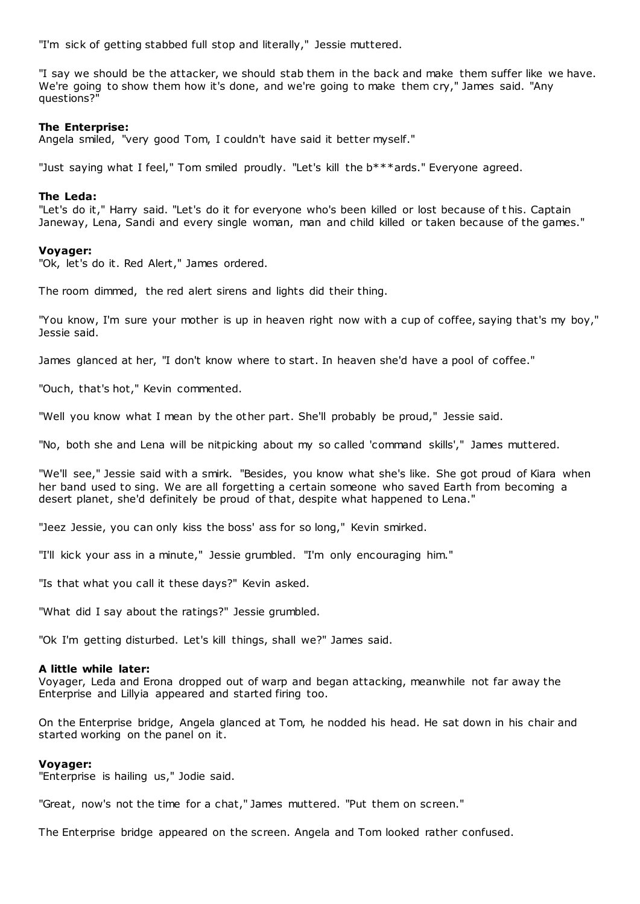"I'm sick of getting stabbed full stop and literally," Jessie muttered.

"I say we should be the attacker, we should stab them in the back and make them suffer like we have. We're going to show them how it's done, and we're going to make them cry," James said. "Any questions?"

# **The Enterprise:**

Angela smiled, "very good Tom, I couldn't have said it better myself."

"Just saying what I feel," Tom smiled proudly. "Let's kill the b\*\*\*ards." Everyone agreed.

# **The Leda:**

"Let's do it," Harry said. "Let's do it for everyone who's been killed or lost because of t his. Captain Janeway, Lena, Sandi and every single woman, man and child killed or taken because of the games."

# **Voyager:**

"Ok, let's do it. Red Alert," James ordered.

The room dimmed, the red alert sirens and lights did their thing.

"You know, I'm sure your mother is up in heaven right now with a cup of coffee, saying that's my boy," Jessie said.

James glanced at her, "I don't know where to start. In heaven she'd have a pool of coffee."

"Ouch, that's hot," Kevin commented.

"Well you know what I mean by the other part. She'll probably be proud," Jessie said.

"No, both she and Lena will be nitpicking about my so called 'command skills'," James muttered.

"We'll see," Jessie said with a smirk. "Besides, you know what she's like. She got proud of Kiara when her band used to sing. We are all forgetting a certain someone who saved Earth from becoming a desert planet, she'd definitely be proud of that, despite what happened to Lena."

"Jeez Jessie, you can only kiss the boss' ass for so long," Kevin smirked.

"I'll kick your ass in a minute," Jessie grumbled. "I'm only encouraging him."

"Is that what you call it these days?" Kevin asked.

"What did I say about the ratings?" Jessie grumbled.

"Ok I'm getting disturbed. Let's kill things, shall we?" James said.

# **A little while later:**

Voyager, Leda and Erona dropped out of warp and began attacking, meanwhile not far away the Enterprise and Lillyia appeared and started firing too.

On the Enterprise bridge, Angela glanced at Tom, he nodded his head. He sat down in his chair and started working on the panel on it.

# **Voyager:**

"Enterprise is hailing us," Jodie said.

"Great, now's not the time for a chat," James muttered. "Put them on screen."

The Enterprise bridge appeared on the screen. Angela and Tom looked rather confused.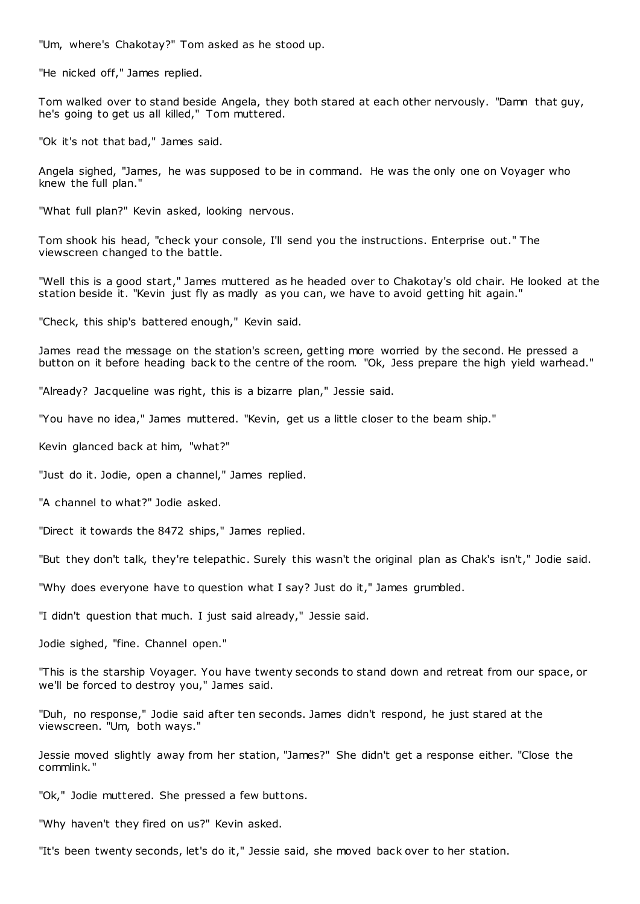"Um, where's Chakotay?" Tom asked as he stood up.

"He nicked off," James replied.

Tom walked over to stand beside Angela, they both stared at each other nervously. "Damn that guy, he's going to get us all killed," Tom muttered.

"Ok it's not that bad," James said.

Angela sighed, "James, he was supposed to be in command. He was the only one on Voyager who knew the full plan."

"What full plan?" Kevin asked, looking nervous.

Tom shook his head, "check your console, I'll send you the instructions. Enterprise out." The viewscreen changed to the battle.

"Well this is a good start," James muttered as he headed over to Chakotay's old chair. He looked at the station beside it. "Kevin just fly as madly as you can, we have to avoid getting hit again."

"Check, this ship's battered enough," Kevin said.

James read the message on the station's screen, getting more worried by the second. He pressed a button on it before heading back to the centre of the room. "Ok, Jess prepare the high yield warhead."

"Already? Jacqueline was right, this is a bizarre plan," Jessie said.

"You have no idea," James muttered. "Kevin, get us a little closer to the beam ship."

Kevin glanced back at him, "what?"

"Just do it. Jodie, open a channel," James replied.

"A channel to what?" Jodie asked.

"Direct it towards the 8472 ships," James replied.

"But they don't talk, they're telepathic . Surely this wasn't the original plan as Chak's isn't," Jodie said.

"Why does everyone have to question what I say? Just do it," James grumbled.

"I didn't question that much. I just said already," Jessie said.

Jodie sighed, "fine. Channel open."

"This is the starship Voyager. You have twenty seconds to stand down and retreat from our space, or we'll be forced to destroy you," James said.

"Duh, no response," Jodie said after ten seconds. James didn't respond, he just stared at the viewscreen. "Um, both ways."

Jessie moved slightly away from her station, "James?" She didn't get a response either. "Close the commlink."

"Ok," Jodie muttered. She pressed a few buttons.

"Why haven't they fired on us?" Kevin asked.

"It's been twenty seconds, let's do it," Jessie said, she moved back over to her station.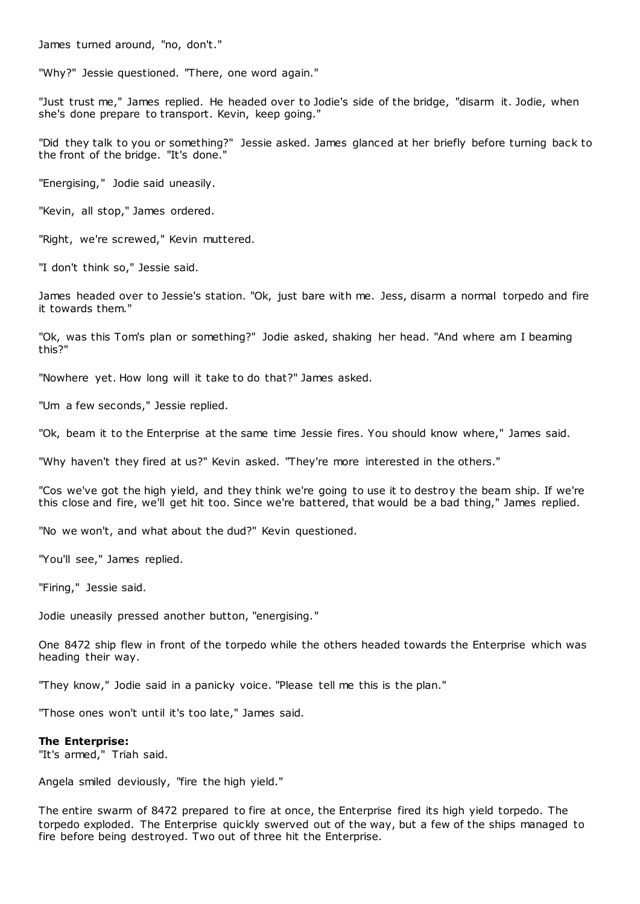James turned around, "no, don't."

"Why?" Jessie questioned. "There, one word again."

"Just trust me," James replied. He headed over to Jodie's side of the bridge, "disarm it. Jodie, when she's done prepare to transport. Kevin, keep going."

"Did they talk to you or something?" Jessie asked. James glanced at her briefly before turning back to the front of the bridge. "It's done."

"Energising," Jodie said uneasily.

"Kevin, all stop," James ordered.

"Right, we're screwed," Kevin muttered.

"I don't think so," Jessie said.

James headed over to Jessie's station. "Ok, just bare with me. Jess, disarm a normal torpedo and fire it towards them."

"Ok, was this Tom's plan or something?" Jodie asked, shaking her head. "And where am I beaming this?"

"Nowhere yet. How long will it take to do that?" James asked.

"Um a few seconds," Jessie replied.

"Ok, beam it to the Enterprise at the same time Jessie fires. You should know where," James said.

"Why haven't they fired at us?" Kevin asked. "They're more interested in the others."

"Cos we've got the high yield, and they think we're going to use it to destroy the beam ship. If we're this close and fire, we'll get hit too. Since we're battered, that would be a bad thing," James replied.

"No we won't, and what about the dud?" Kevin questioned.

"You'll see," James replied.

"Firing," Jessie said.

Jodie uneasily pressed another button, "energising."

One 8472 ship flew in front of the torpedo while the others headed towards the Enterprise which was heading their way.

"They know," Jodie said in a panicky voice. "Please tell me this is the plan."

"Those ones won't until it's too late," James said.

#### **The Enterprise:**

"It's armed," Triah said.

Angela smiled deviously, "fire the high yield."

The entire swarm of 8472 prepared to fire at once, the Enterprise fired its high yield torpedo. The torpedo exploded. The Enterprise quickly swerved out of the way, but a few of the ships managed to fire before being destroyed. Two out of three hit the Enterprise.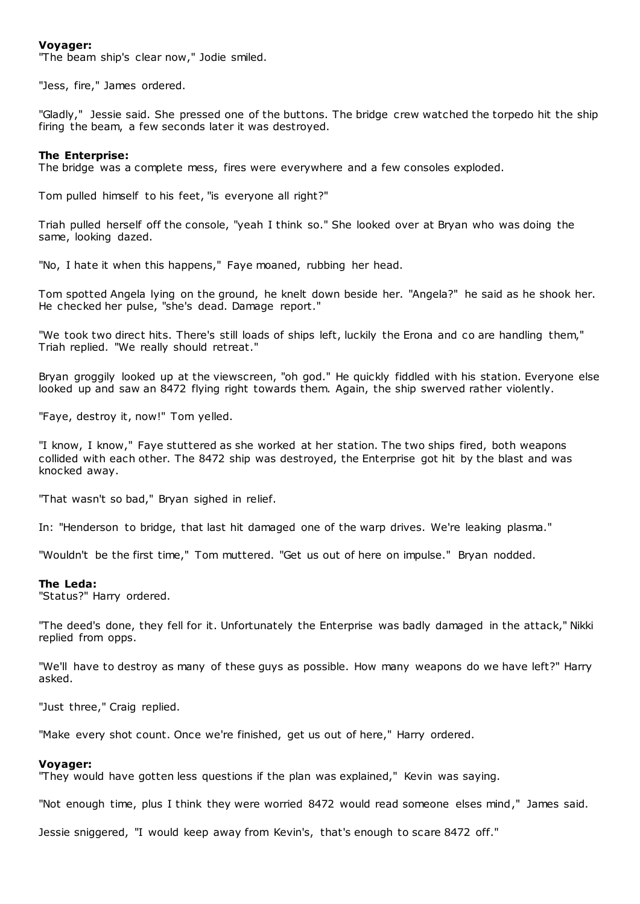# **Voyager:**

"The beam ship's clear now," Jodie smiled.

"Jess, fire," James ordered.

"Gladly," Jessie said. She pressed one of the buttons. The bridge crew watched the torpedo hit the ship firing the beam, a few seconds later it was destroyed.

#### **The Enterprise:**

The bridge was a complete mess, fires were everywhere and a few consoles exploded.

Tom pulled himself to his feet, "is everyone all right?"

Triah pulled herself off the console, "yeah I think so." She looked over at Bryan who was doing the same, looking dazed.

"No, I hate it when this happens," Faye moaned, rubbing her head.

Tom spotted Angela lying on the ground, he knelt down beside her. "Angela?" he said as he shook her. He checked her pulse, "she's dead. Damage report."

"We took two direct hits. There's still loads of ships left, luckily the Erona and co are handling them," Triah replied. "We really should retreat."

Bryan groggily looked up at the viewscreen, "oh god." He quickly fiddled with his station. Everyone else looked up and saw an 8472 flying right towards them. Again, the ship swerved rather violently.

"Faye, destroy it, now!" Tom yelled.

"I know, I know," Faye stuttered as she worked at her station. The two ships fired, both weapons collided with each other. The 8472 ship was destroyed, the Enterprise got hit by the blast and was knocked away.

"That wasn't so bad," Bryan sighed in relief.

In: "Henderson to bridge, that last hit damaged one of the warp drives. We're leaking plasma."

"Wouldn't be the first time," Tom muttered. "Get us out of here on impulse." Bryan nodded.

### **The Leda:**

"Status?" Harry ordered.

"The deed's done, they fell for it. Unfortunately the Enterprise was badly damaged in the attack," Nikki replied from opps.

"We'll have to destroy as many of these guys as possible. How many weapons do we have left?" Harry asked.

"Just three," Craig replied.

"Make every shot count. Once we're finished, get us out of here," Harry ordered.

#### **Voyager:**

"They would have gotten less questions if the plan was explained," Kevin was saying.

"Not enough time, plus I think they were worried 8472 would read someone elses mind," James said.

Jessie sniggered, "I would keep away from Kevin's, that's enough to scare 8472 off."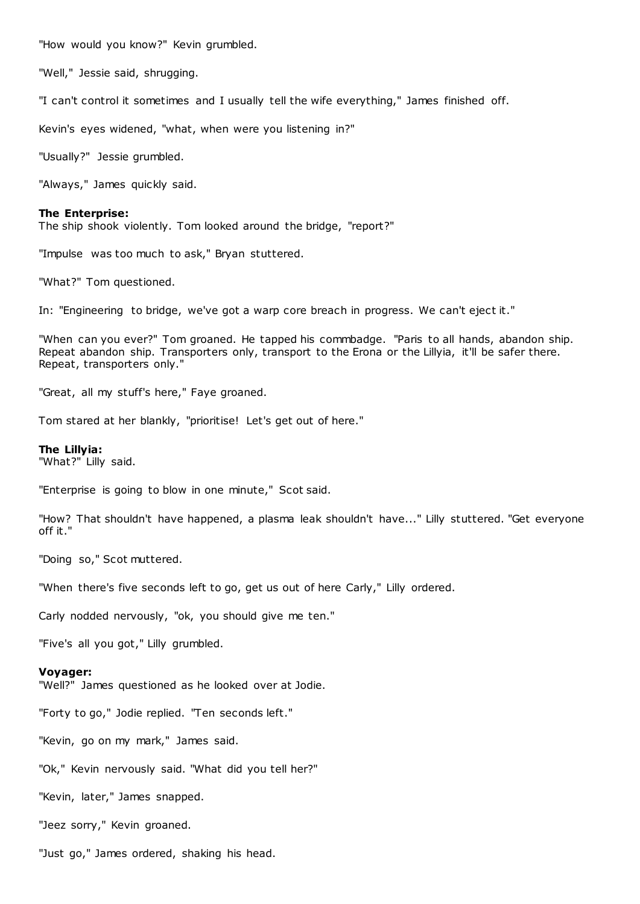"How would you know?" Kevin grumbled.

"Well," Jessie said, shrugging.

"I can't control it sometimes and I usually tell the wife everything," James finished off.

Kevin's eyes widened, "what, when were you listening in?"

"Usually?" Jessie grumbled.

"Always," James quickly said.

#### **The Enterprise:**

The ship shook violently. Tom looked around the bridge, "report?"

"Impulse was too much to ask," Bryan stuttered.

"What?" Tom questioned.

In: "Engineering to bridge, we've got a warp core breach in progress. We can't eject it."

"When can you ever?" Tom groaned. He tapped his commbadge. "Paris to all hands, abandon ship. Repeat abandon ship. Transporters only, transport to the Erona or the Lillyia, it'll be safer there. Repeat, transporters only."

"Great, all my stuff's here," Faye groaned.

Tom stared at her blankly, "prioritise! Let's get out of here."

# **The Lillyia:**

"What?" Lilly said.

"Enterprise is going to blow in one minute," Scot said.

"How? That shouldn't have happened, a plasma leak shouldn't have..." Lilly stuttered. "Get everyone off it."

"Doing so," Scot muttered.

"When there's five seconds left to go, get us out of here Carly," Lilly ordered.

Carly nodded nervously, "ok, you should give me ten."

"Five's all you got," Lilly grumbled.

#### **Voyager:**

"Well?" James questioned as he looked over at Jodie.

"Forty to go," Jodie replied. "Ten seconds left."

"Kevin, go on my mark," James said.

"Ok," Kevin nervously said. "What did you tell her?"

"Kevin, later," James snapped.

"Jeez sorry," Kevin groaned.

"Just go," James ordered, shaking his head.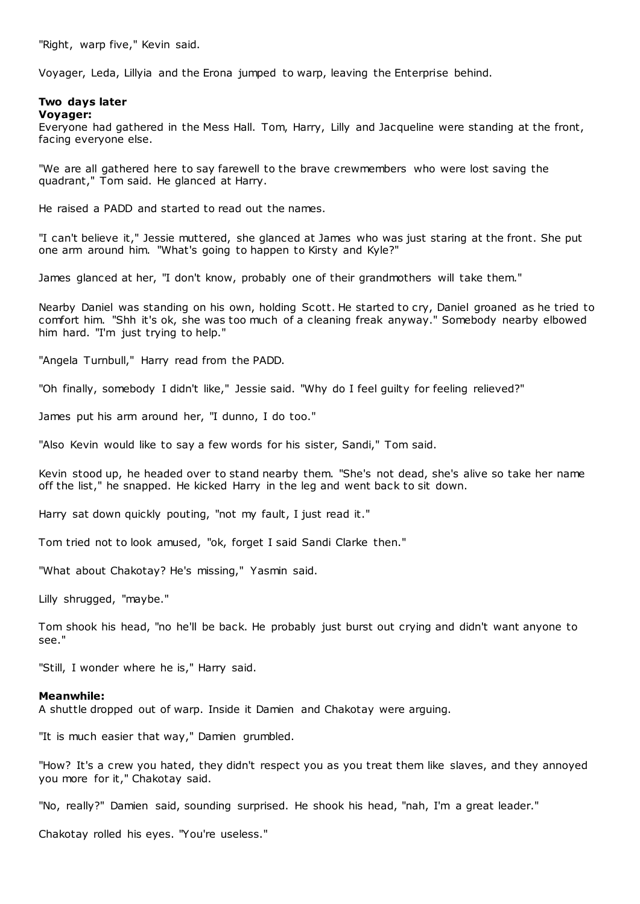"Right, warp five," Kevin said.

Voyager, Leda, Lillyia and the Erona jumped to warp, leaving the Enterprise behind.

#### **Two days later Voyager:**

Everyone had gathered in the Mess Hall. Tom, Harry, Lilly and Jacqueline were standing at the front, facing everyone else.

"We are all gathered here to say farewell to the brave crewmembers who were lost saving the quadrant," Tom said. He glanced at Harry.

He raised a PADD and started to read out the names.

"I can't believe it," Jessie muttered, she glanced at James who was just staring at the front. She put one arm around him. "What's going to happen to Kirsty and Kyle?"

James glanced at her, "I don't know, probably one of their grandmothers will take them."

Nearby Daniel was standing on his own, holding Scott. He started to cry, Daniel groaned as he tried to comfort him. "Shh it's ok, she was too much of a cleaning freak anyway." Somebody nearby elbowed him hard. "I'm just trying to help."

"Angela Turnbull," Harry read from the PADD.

"Oh finally, somebody I didn't like," Jessie said. "Why do I feel guilty for feeling relieved?"

James put his arm around her, "I dunno, I do too."

"Also Kevin would like to say a few words for his sister, Sandi," Tom said.

Kevin stood up, he headed over to stand nearby them. "She's not dead, she's alive so take her name off the list," he snapped. He kicked Harry in the leg and went back to sit down.

Harry sat down quickly pouting, "not my fault, I just read it."

Tom tried not to look amused, "ok, forget I said Sandi Clarke then."

"What about Chakotay? He's missing," Yasmin said.

Lilly shrugged, "maybe."

Tom shook his head, "no he'll be back. He probably just burst out crying and didn't want anyone to see."

"Still, I wonder where he is," Harry said.

#### **Meanwhile:**

A shuttle dropped out of warp. Inside it Damien and Chakotay were arguing.

"It is much easier that way," Damien grumbled.

"How? It's a crew you hated, they didn't respect you as you treat them like slaves, and they annoyed you more for it," Chakotay said.

"No, really?" Damien said, sounding surprised. He shook his head, "nah, I'm a great leader."

Chakotay rolled his eyes. "You're useless."